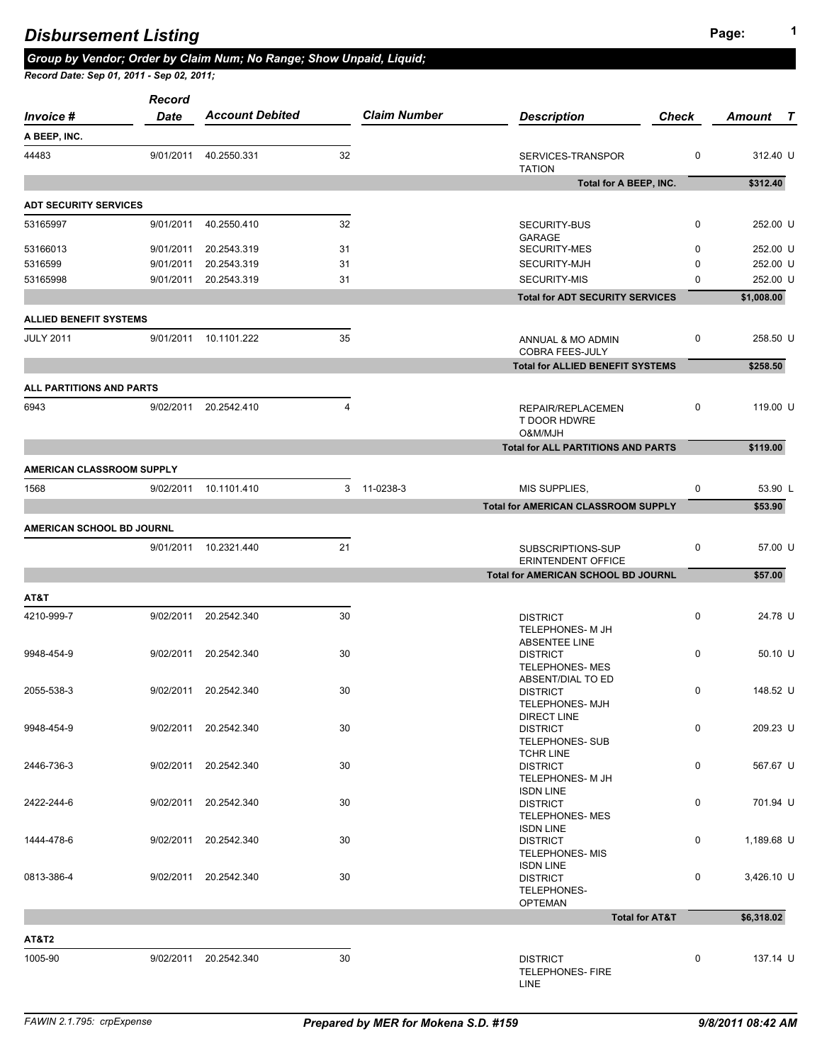**A BEEP, INC.**

*Record*

**Total for A BEEP, INC.** \$312.40

**Total for AMERICAN CLASSROOM SUPPLY \$53.90** 

0 312.40 U

*Account Debited Claim Number Description Check Amount T Invoice # Date* 44483 9/01/2011 40.2550.331 32 SERVICES-TRANSPOR TATION

| <b>ADT SECURITY SERVICES</b>  |           |             |    |                                        |            |
|-------------------------------|-----------|-------------|----|----------------------------------------|------------|
| 53165997                      | 9/01/2011 | 40.2550.410 | 32 | SECURITY-BUS<br>GARAGE                 | 252.00 U   |
| 53166013                      | 9/01/2011 | 20.2543.319 | 31 | <b>SECURITY-MES</b>                    | 252.00 U   |
| 5316599                       | 9/01/2011 | 20.2543.319 | 31 | SECURITY-MJH                           | 252.00 U   |
| 53165998                      | 9/01/2011 | 20.2543.319 | 31 | <b>SECURITY-MIS</b>                    | 252.00 U   |
|                               |           |             |    | <b>Total for ADT SECURITY SERVICES</b> | \$1,008.00 |
| <b>ALLIED BENEFIT SYSTEMS</b> |           |             |    |                                        |            |

*Group by Vendor; Order by Claim Num; No Range; Show Unpaid, Liquid;* 

| ALLIED BENEFII SYSIEMS           |           |             |    |                                              |          |          |
|----------------------------------|-----------|-------------|----|----------------------------------------------|----------|----------|
| <b>JULY 2011</b>                 | 9/01/2011 | 10.1101.222 | 35 | ANNUAL & MO ADMIN<br><b>COBRA FEES-JULY</b>  | 0        | 258.50 U |
|                                  |           |             |    | <b>Total for ALLIED BENEFIT SYSTEMS</b>      |          | \$258.50 |
| ALL PARTITIONS AND PARTS         |           |             |    |                                              |          |          |
| 6943                             | 9/02/2011 | 20.2542.410 | 4  | REPAIR/REPLACEMEN<br>T DOOR HDWRE<br>O&M/MJH | 0        | 119,00 U |
|                                  |           |             |    | <b>Total for ALL PARTITIONS AND PARTS</b>    |          | \$119.00 |
| <b>AMERICAN CLASSROOM SUPPLY</b> |           |             |    |                                              |          |          |
| 1568                             | 9/02/2011 | 10.1101.410 |    | <b>MIS SUPPLIES,</b><br>3 11-0238-3          | $\Omega$ | 53.90 L  |
|                                  |           |             |    |                                              |          |          |

|            | AMERICAN SCHOOL BD JOURNL |             |    |                                                                 |             |            |
|------------|---------------------------|-------------|----|-----------------------------------------------------------------|-------------|------------|
|            | 9/01/2011                 | 10.2321.440 | 21 | SUBSCRIPTIONS-SUP<br><b>ERINTENDENT OFFICE</b>                  | $\Omega$    | 57.00 U    |
|            |                           |             |    | Total for AMERICAN SCHOOL BD JOURNL                             |             | \$57.00    |
| AT&T       |                           |             |    |                                                                 |             |            |
| 4210-999-7 | 9/02/2011                 | 20.2542.340 | 30 | <b>DISTRICT</b><br>TELEPHONES- M JH<br><b>ABSENTEE LINE</b>     | $\mathbf 0$ | 24.78 U    |
| 9948-454-9 | 9/02/2011                 | 20.2542.340 | 30 | <b>DISTRICT</b><br><b>TELEPHONES-MES</b><br>ABSENT/DIAL TO ED   | $\mathbf 0$ | $50.10$ U  |
| 2055-538-3 | 9/02/2011                 | 20.2542.340 | 30 | <b>DISTRICT</b><br><b>TELEPHONES- MJH</b><br><b>DIRECT LINE</b> | 0           | 148.52 U   |
| 9948-454-9 | 9/02/2011                 | 20.2542.340 | 30 | <b>DISTRICT</b><br><b>TELEPHONES- SUB</b><br><b>TCHR LINE</b>   | 0           | 209.23 U   |
| 2446-736-3 | 9/02/2011                 | 20.2542.340 | 30 | <b>DISTRICT</b><br>TELEPHONES- M JH<br><b>ISDN LINE</b>         | $\mathbf 0$ | 567.67 U   |
| 2422-244-6 | 9/02/2011                 | 20.2542.340 | 30 | <b>DISTRICT</b><br><b>TELEPHONES-MES</b><br><b>ISDN LINE</b>    | 0           | 701.94 U   |
| 1444-478-6 | 9/02/2011                 | 20.2542.340 | 30 | <b>DISTRICT</b><br><b>TELEPHONES-MIS</b><br><b>ISDN LINE</b>    | $\mathbf 0$ | 1,189.68 U |
| 0813-386-4 | 9/02/2011                 | 20.2542.340 | 30 | <b>DISTRICT</b><br>TELEPHONES-<br><b>OPTEMAN</b>                | 0           | 3,426.10 U |
|            |                           |             |    | <b>Total for AT&amp;T</b>                                       |             | \$6,318.02 |
| AT&T2      |                           |             |    |                                                                 |             |            |
| 1005-90    | 9/02/2011                 | 20.2542.340 | 30 | <b>DISTRICT</b><br><b>TELEPHONES- FIRE</b>                      | $\mathbf 0$ | 137.14 U   |

LINE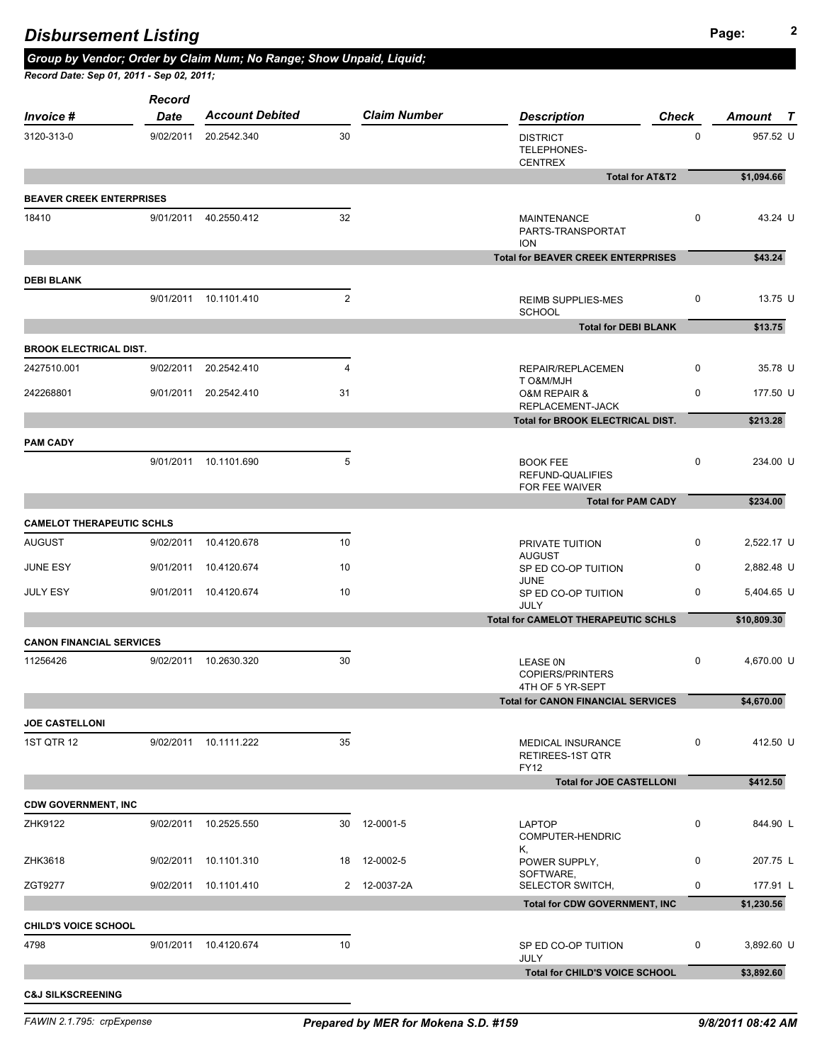|                                             | <b>Record</b> |                                                |                |                              |                                                               |                            |                                                            |
|---------------------------------------------|---------------|------------------------------------------------|----------------|------------------------------|---------------------------------------------------------------|----------------------------|------------------------------------------------------------|
| <i>Invoice</i> #                            | <b>Date</b>   | <b>Account Debited</b>                         |                | <b>Claim Number</b>          | <b>Description</b>                                            | <b>Check</b>               | Amount T                                                   |
| 3120-313-0                                  |               | 9/02/2011 20.2542.340                          | 30             |                              | <b>DISTRICT</b><br>TELEPHONES-<br><b>CENTREX</b>              | $\mathbf 0$                | 957.52 U                                                   |
|                                             |               |                                                |                |                              |                                                               | <b>Total for AT&amp;T2</b> | \$1,094.66                                                 |
| <b>BEAVER CREEK ENTERPRISES</b>             |               |                                                |                |                              |                                                               |                            |                                                            |
| 18410                                       |               | 9/01/2011 40.2550.412                          | 32             |                              | <b>MAINTENANCE</b><br>PARTS-TRANSPORTAT<br><b>ION</b>         | $\mathbf 0$                | 43.24 U                                                    |
|                                             |               |                                                |                |                              | <b>Total for BEAVER CREEK ENTERPRISES</b>                     |                            | \$43.24                                                    |
| <b>DEBI BLANK</b>                           |               |                                                |                |                              |                                                               |                            |                                                            |
|                                             |               | 9/01/2011 10.1101.410                          | $\mathbf{2}$   |                              | <b>REIMB SUPPLIES-MES</b><br><b>SCHOOL</b>                    | $\mathbf 0$                | 13.75 U                                                    |
|                                             |               |                                                |                |                              | <b>Total for DEBI BLANK</b>                                   |                            | \$13.75                                                    |
| <b>BROOK ELECTRICAL DIST.</b>               |               |                                                |                |                              |                                                               |                            |                                                            |
| 2427510.001                                 |               | 9/02/2011 20.2542.410                          | $\overline{4}$ |                              | REPAIR/REPLACEMEN<br>T O&M/MJH                                | 0                          | 35.78 U                                                    |
| 242268801                                   | 9/01/2011     | 20.2542.410                                    | 31             |                              | <b>O&amp;M REPAIR &amp;</b><br>REPLACEMENT-JACK               | 0                          | 177.50 U                                                   |
|                                             |               |                                                |                |                              | Total for BROOK ELECTRICAL DIST.                              |                            | \$213.28                                                   |
| <b>PAM CADY</b>                             |               |                                                |                |                              |                                                               |                            |                                                            |
|                                             |               | 9/01/2011 10.1101.690                          | 5              |                              | <b>BOOK FEE</b><br>REFUND-QUALIFIES<br>FOR FEE WAIVER         | 0                          | 234.00 U                                                   |
|                                             |               |                                                |                |                              | <b>Total for PAM CADY</b>                                     |                            | \$234.00                                                   |
| <b>CAMELOT THERAPEUTIC SCHLS</b>            |               |                                                |                |                              |                                                               |                            |                                                            |
| <b>AUGUST</b>                               |               | 9/02/2011 10.4120.678                          | 10             |                              | PRIVATE TUITION<br><b>AUGUST</b>                              | 0                          | 2,522.17 U                                                 |
| JUNE ESY                                    |               | 9/01/2011 10.4120.674                          | 10             |                              | SP ED CO-OP TUITION<br><b>JUNE</b>                            | 0                          | 2,882.48 U                                                 |
| <b>JULY ESY</b>                             |               | 9/01/2011 10.4120.674                          | 10             |                              | SP ED CO-OP TUITION<br><b>JULY</b>                            | 0                          | 5,404.65 U                                                 |
|                                             |               |                                                |                |                              | <b>Total for CAMELOT THERAPEUTIC SCHLS</b>                    |                            | \$10,809.30                                                |
|                                             |               |                                                |                |                              |                                                               |                            |                                                            |
|                                             |               |                                                |                |                              |                                                               |                            |                                                            |
|                                             |               | 9/02/2011 10.2630.320                          | 30             |                              | <b>LEASE ON</b><br>COPIERS/PRINTERS                           | $\mathbf 0$                |                                                            |
|                                             |               |                                                |                |                              | 4TH OF 5 YR-SEPT<br><b>Total for CANON FINANCIAL SERVICES</b> |                            | \$4,670.00                                                 |
| <b>CANON FINANCIAL SERVICES</b><br>11256426 |               |                                                |                |                              |                                                               |                            |                                                            |
| <b>JOE CASTELLONI</b><br><b>1ST QTR 12</b>  |               | 9/02/2011 10.1111.222                          | 35             |                              | <b>MEDICAL INSURANCE</b><br>RETIREES-1ST QTR                  | 0                          |                                                            |
|                                             |               |                                                |                |                              | <b>FY12</b>                                                   |                            |                                                            |
|                                             |               |                                                |                |                              | <b>Total for JOE CASTELLONI</b>                               |                            | \$412.50                                                   |
| <b>CDW GOVERNMENT, INC</b><br>ZHK9122       |               | 9/02/2011 10.2525.550                          |                | 30 12-0001-5                 | <b>LAPTOP</b>                                                 | 0                          |                                                            |
|                                             |               |                                                |                |                              | COMPUTER-HENDRIC<br>Κ,                                        |                            |                                                            |
| ZHK3618<br>ZGT9277                          |               | 9/02/2011 10.1101.310<br>9/02/2011 10.1101.410 |                | 18 12-0002-5<br>2 12-0037-2A | POWER SUPPLY,<br>SOFTWARE,<br>SELECTOR SWITCH,                | 0<br>0                     | 4,670.00 U<br>412.50 U<br>844.90 L<br>207.75 L<br>177.91 L |

**C&J SILKSCREENING**

JULY

4798 9/01/2011 10.4120.674 10 SP ED CO-OP TUITION

0 3,892.60 U

Total for CHILD'S VOICE SCHOOL **\$3,892.60**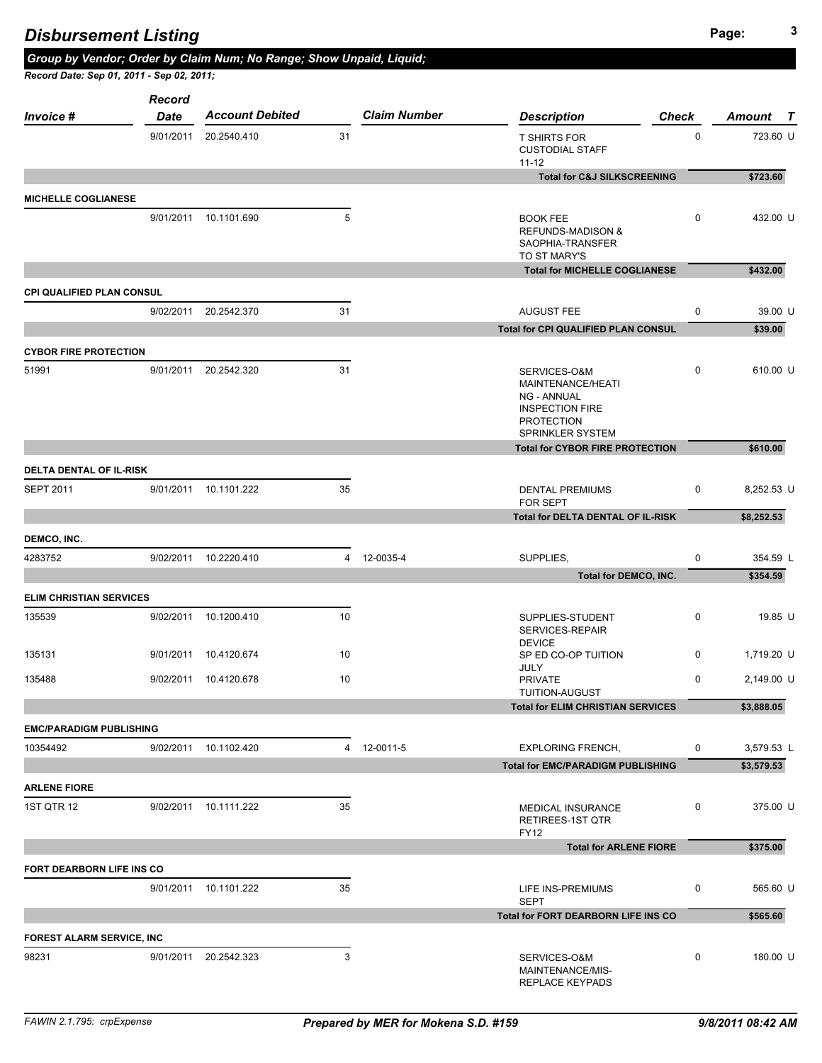|                                  | <b>Record</b> |                        |    |                     |                                                                                                                            |              |            |
|----------------------------------|---------------|------------------------|----|---------------------|----------------------------------------------------------------------------------------------------------------------------|--------------|------------|
| <b>Invoice #</b>                 | <b>Date</b>   | <b>Account Debited</b> |    | <b>Claim Number</b> | <b>Description</b>                                                                                                         | <b>Check</b> | Amount T   |
|                                  |               | 9/01/2011 20.2540.410  | 31 |                     | <b>T SHIRTS FOR</b><br><b>CUSTODIAL STAFF</b><br>$11 - 12$                                                                 | $\mathbf 0$  | 723.60 U   |
|                                  |               |                        |    |                     | <b>Total for C&amp;J SILKSCREENING</b>                                                                                     |              | \$723.60   |
| <b>MICHELLE COGLIANESE</b>       |               |                        |    |                     |                                                                                                                            |              |            |
|                                  |               | 9/01/2011 10.1101.690  | 5  |                     | <b>BOOK FEE</b><br><b>REFUNDS-MADISON &amp;</b><br>SAOPHIA-TRANSFER<br>TO ST MARY'S                                        | $\mathbf 0$  | 432.00 U   |
|                                  |               |                        |    |                     | <b>Total for MICHELLE COGLIANESE</b>                                                                                       |              | \$432.00   |
| <b>CPI QUALIFIED PLAN CONSUL</b> |               |                        |    |                     |                                                                                                                            |              |            |
|                                  |               | 9/02/2011 20.2542.370  | 31 |                     | <b>AUGUST FEE</b>                                                                                                          | $\pmb{0}$    | 39.00 U    |
|                                  |               |                        |    |                     | Total for CPI QUALIFIED PLAN CONSUL                                                                                        |              | \$39.00    |
| <b>CYBOR FIRE PROTECTION</b>     |               |                        |    |                     |                                                                                                                            |              |            |
| 51991                            |               | 9/01/2011 20.2542.320  | 31 |                     | SERVICES-O&M<br>MAINTENANCE/HEATI<br><b>NG - ANNUAL</b><br><b>INSPECTION FIRE</b><br><b>PROTECTION</b><br>SPRINKLER SYSTEM | $\mathbf 0$  | 610.00 U   |
|                                  |               |                        |    |                     | <b>Total for CYBOR FIRE PROTECTION</b>                                                                                     |              | \$610.00   |
| <b>DELTA DENTAL OF IL-RISK</b>   |               |                        |    |                     |                                                                                                                            |              |            |
| <b>SEPT 2011</b>                 |               | 9/01/2011 10.1101.222  | 35 |                     | <b>DENTAL PREMIUMS</b><br>FOR SEPT                                                                                         | 0            | 8,252.53 U |
|                                  |               |                        |    |                     | Total for DELTA DENTAL OF IL-RISK                                                                                          |              | \$8,252.53 |
| DEMCO, INC.                      |               |                        |    |                     |                                                                                                                            |              |            |
| 4283752                          |               | 9/02/2011 10.2220.410  |    | 4 12-0035-4         | SUPPLIES.                                                                                                                  | $\mathbf 0$  | 354.59 L   |
|                                  |               |                        |    |                     | Total for DEMCO, INC.                                                                                                      |              | \$354.59   |
| <b>ELIM CHRISTIAN SERVICES</b>   |               |                        |    |                     |                                                                                                                            |              |            |
| 135539                           |               | 9/02/2011 10.1200.410  | 10 |                     | SUPPLIES-STUDENT<br>SERVICES-REPAIR                                                                                        | 0            | 19.85 U    |
| 135131                           |               | 9/01/2011 10.4120.674  | 10 |                     | <b>DEVICE</b><br>SP ED CO-OP TUITION<br>JULY                                                                               | $\mathbf{0}$ | 1,719.20 U |
| 135488                           |               | 9/02/2011 10.4120.678  | 10 |                     | PRIVATE<br>TUITION-AUGUST                                                                                                  | $\mathbf 0$  | 2,149.00 U |
|                                  |               |                        |    |                     | <b>Total for ELIM CHRISTIAN SERVICES</b>                                                                                   |              | \$3,888.05 |
| <b>EMC/PARADIGM PUBLISHING</b>   |               |                        |    |                     |                                                                                                                            |              |            |
| 10354492                         |               | 9/02/2011 10.1102.420  |    | 4 12-0011-5         | <b>EXPLORING FRENCH.</b>                                                                                                   | 0            | 3,579.53 L |
|                                  |               |                        |    |                     | <b>Total for EMC/PARADIGM PUBLISHING</b>                                                                                   |              | \$3,579.53 |
| <b>ARLENE FIORE</b>              |               |                        |    |                     |                                                                                                                            |              |            |
| <b>1ST QTR 12</b>                |               | 9/02/2011 10.1111.222  | 35 |                     | MEDICAL INSURANCE<br>RETIREES-1ST QTR<br><b>FY12</b>                                                                       | 0            | 375.00 U   |
|                                  |               |                        |    |                     | <b>Total for ARLENE FIORE</b>                                                                                              |              | \$375.00   |
| FORT DEARBORN LIFE INS CO        |               |                        |    |                     |                                                                                                                            |              |            |
|                                  |               | 9/01/2011 10.1101.222  | 35 |                     | LIFE INS-PREMIUMS<br><b>SEPT</b>                                                                                           | 0            | 565.60 U   |
|                                  |               |                        |    |                     | Total for FORT DEARBORN LIFE INS CO                                                                                        |              | \$565.60   |
|                                  |               |                        |    |                     |                                                                                                                            |              |            |
| <b>FOREST ALARM SERVICE, INC</b> |               |                        |    |                     |                                                                                                                            |              |            |
| 98231                            |               | 9/01/2011 20.2542.323  | 3  |                     | SERVICES-O&M<br>MAINTENANCE/MIS-<br>REPLACE KEYPADS                                                                        | 0            | 180.00 U   |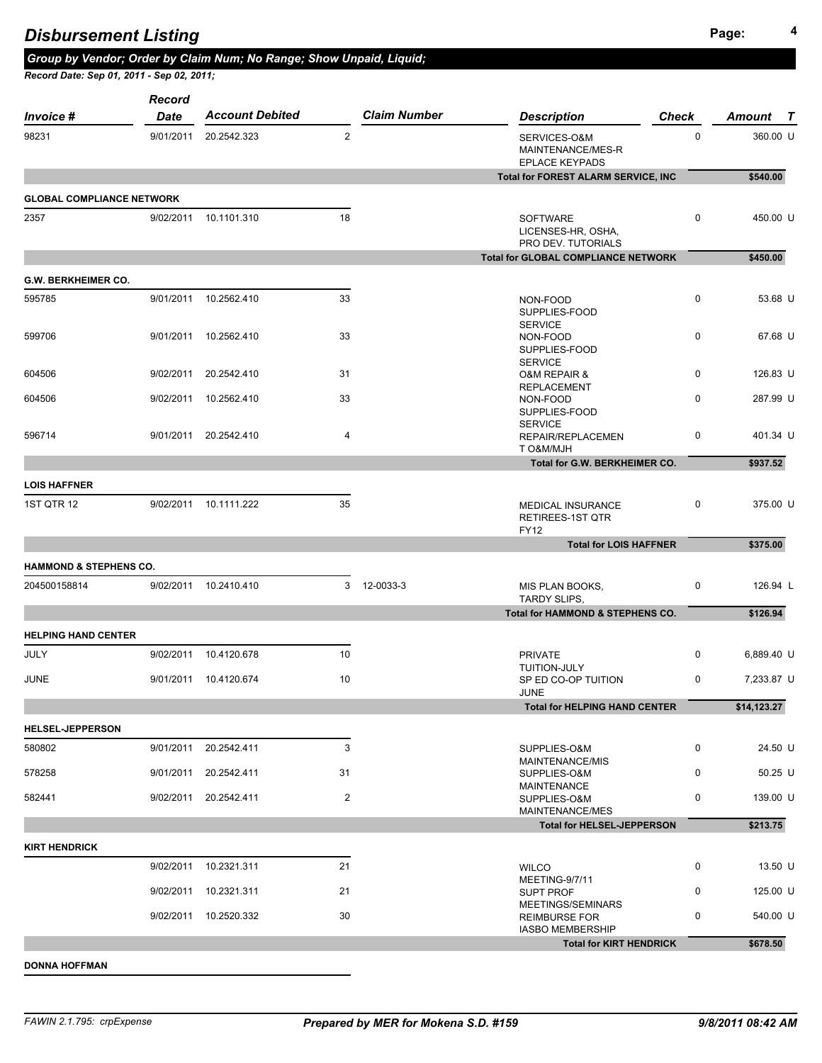| <b>Disbursement Listing</b> |
|-----------------------------|
|-----------------------------|

| Record Date: Sep 01, 2011 - Sep 02, 2011; |                              |                        |                |                     |                                                                      |              |                  |
|-------------------------------------------|------------------------------|------------------------|----------------|---------------------|----------------------------------------------------------------------|--------------|------------------|
| <b>Invoice #</b>                          | <b>Record</b><br><b>Date</b> | <b>Account Debited</b> |                | <b>Claim Number</b> | <b>Description</b>                                                   | <b>Check</b> | Amount<br>$\top$ |
| 98231                                     | 9/01/2011                    | 20.2542.323            | $\overline{2}$ |                     | SERVICES-O&M<br>MAINTENANCE/MES-R<br><b>EPLACE KEYPADS</b>           | $\pmb{0}$    | 360.00 U         |
|                                           |                              |                        |                |                     | <b>Total for FOREST ALARM SERVICE, INC</b>                           |              | \$540.00         |
| <b>GLOBAL COMPLIANCE NETWORK</b>          |                              |                        |                |                     |                                                                      |              |                  |
| 2357                                      |                              | 9/02/2011 10.1101.310  | 18             |                     | <b>SOFTWARE</b><br>LICENSES-HR, OSHA,                                | $\mathbf 0$  | 450.00 U         |
|                                           |                              |                        |                |                     | PRO DEV. TUTORIALS<br><b>Total for GLOBAL COMPLIANCE NETWORK</b>     |              | \$450.00         |
|                                           |                              |                        |                |                     |                                                                      |              |                  |
| <b>G.W. BERKHEIMER CO.</b>                |                              |                        |                |                     |                                                                      |              |                  |
| 595785                                    | 9/01/2011                    | 10.2562.410            | 33             |                     | NON-FOOD<br>SUPPLIES-FOOD<br><b>SERVICE</b>                          | 0            | 53.68 U          |
| 599706                                    |                              | 9/01/2011 10.2562.410  | 33             |                     | NON-FOOD<br>SUPPLIES-FOOD<br><b>SERVICE</b>                          | $\mathbf 0$  | 67.68 U          |
| 604506                                    | 9/02/2011                    | 20.2542.410            | 31             |                     | <b>O&amp;M REPAIR &amp;</b><br><b>REPLACEMENT</b>                    | 0            | 126.83 U         |
| 604506                                    |                              | 9/02/2011 10.2562.410  | 33             |                     | NON-FOOD<br>SUPPLIES-FOOD<br><b>SERVICE</b>                          | $\mathbf 0$  | 287.99 U         |
| 596714                                    | 9/01/2011                    | 20.2542.410            | $\overline{a}$ |                     | REPAIR/REPLACEMEN<br>T O&M/MJH                                       | 0            | 401.34 U         |
|                                           |                              |                        |                |                     | Total for G.W. BERKHEIMER CO.                                        |              | \$937.52         |
| <b>LOIS HAFFNER</b>                       |                              |                        |                |                     |                                                                      |              |                  |
| <b>1ST QTR 12</b>                         |                              | 9/02/2011 10.1111.222  | 35             |                     | <b>MEDICAL INSURANCE</b><br>RETIREES-1ST QTR<br><b>FY12</b>          | 0            | 375.00 U         |
|                                           |                              |                        |                |                     | <b>Total for LOIS HAFFNER</b>                                        |              | \$375.00         |
| <b>HAMMOND &amp; STEPHENS CO.</b>         |                              |                        |                |                     |                                                                      |              |                  |
| 204500158814                              |                              | 9/02/2011 10.2410.410  |                | 3 12-0033-3         | MIS PLAN BOOKS,<br><b>TARDY SLIPS,</b>                               | $\mathbf 0$  | 126.94 L         |
|                                           |                              |                        |                |                     | Total for HAMMOND & STEPHENS CO.                                     |              | \$126.94         |
| <b>HELPING HAND CENTER</b>                |                              |                        |                |                     |                                                                      |              |                  |
| JULY                                      |                              | 9/02/2011 10.4120.678  | 10             |                     | <b>PRIVATE</b><br>TUITION-JULY                                       | 0            | 6,889.40 U       |
| <b>JUNE</b>                               |                              | 9/01/2011 10.4120.674  | 10             |                     | SP ED CO-OP TUITION<br><b>JUNE</b>                                   | $\mathbf 0$  | 7,233.87 U       |
|                                           |                              |                        |                |                     | <b>Total for HELPING HAND CENTER</b>                                 |              | \$14,123.27      |
| <b>HELSEL-JEPPERSON</b>                   |                              |                        |                |                     |                                                                      |              |                  |
| 580802                                    |                              | 9/01/2011 20.2542.411  | 3              |                     | SUPPLIES-O&M<br>MAINTENANCE/MIS                                      | 0            | 24.50 U          |
| 578258                                    |                              | 9/01/2011 20.2542.411  | 31             |                     | SUPPLIES-O&M                                                         | 0            | 50.25 U          |
| 582441                                    | 9/02/2011                    | 20.2542.411            | $\overline{2}$ |                     | <b>MAINTENANCE</b><br>SUPPLIES-O&M<br>MAINTENANCE/MES                | $\mathbf 0$  | 139.00 U         |
|                                           |                              |                        |                |                     | <b>Total for HELSEL-JEPPERSON</b>                                    |              | \$213.75         |
| <b>KIRT HENDRICK</b>                      |                              |                        |                |                     |                                                                      |              |                  |
|                                           | 9/02/2011                    | 10.2321.311            | 21             |                     | <b>WILCO</b><br>MEETING-9/7/11                                       | 0            | 13.50 U          |
|                                           | 9/02/2011                    | 10.2321.311            | 21             |                     | <b>SUPT PROF</b>                                                     | $\mathbf 0$  | 125.00 U         |
|                                           |                              | 9/02/2011 10.2520.332  | 30             |                     | MEETINGS/SEMINARS<br><b>REIMBURSE FOR</b><br><b>IASBO MEMBERSHIP</b> | $\mathbf 0$  | 540.00 U         |

**DONNA HOFFMAN**

Total for KIRT HENDRICK **\$678.50**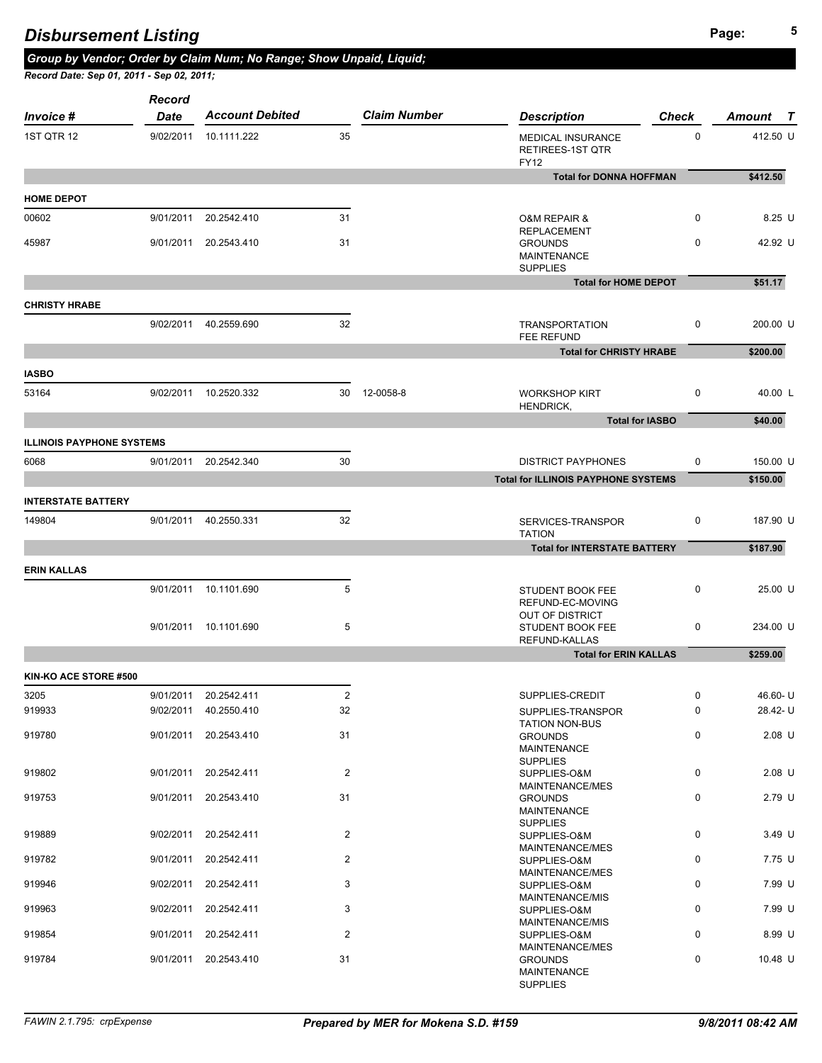*Group by Vendor; Order by Claim Num; No Range; Show Unpaid, Liquid;* 

|  | Record Date: Sep 01, 2011 - Sep 02, 2011; |  |
|--|-------------------------------------------|--|

| <i>Invoice</i> #                 | Record<br><b>Date</b> | <b>Account Debited</b> |                | <b>Claim Number</b> | <b>Description</b>                                         | <b>Check</b>           | Amount T |
|----------------------------------|-----------------------|------------------------|----------------|---------------------|------------------------------------------------------------|------------------------|----------|
| 1ST QTR 12                       | 9/02/2011             | 10.1111.222            | 35             |                     | MEDICAL INSURANCE<br>RETIREES-1ST QTR<br><b>FY12</b>       | 0                      | 412.50 U |
|                                  |                       |                        |                |                     | <b>Total for DONNA HOFFMAN</b>                             |                        | \$412.50 |
| <b>HOME DEPOT</b>                |                       |                        |                |                     |                                                            |                        |          |
| 00602                            | 9/01/2011             | 20.2542.410            | 31             |                     | <b>O&amp;M REPAIR &amp;</b>                                | 0                      | 8.25 U   |
| 45987                            |                       | 9/01/2011 20.2543.410  | 31             |                     | <b>REPLACEMENT</b><br><b>GROUNDS</b><br><b>MAINTENANCE</b> | $\mathbf 0$            | 42.92 U  |
|                                  |                       |                        |                |                     | <b>SUPPLIES</b><br><b>Total for HOME DEPOT</b>             |                        | \$51.17  |
|                                  |                       |                        |                |                     |                                                            |                        |          |
| <b>CHRISTY HRABE</b>             | 9/02/2011             | 40.2559.690            | 32             |                     | <b>TRANSPORTATION</b><br>FEE REFUND                        | 0                      | 200.00 U |
|                                  |                       |                        |                |                     | <b>Total for CHRISTY HRABE</b>                             |                        | \$200.00 |
| <b>IASBO</b>                     |                       |                        |                |                     |                                                            |                        |          |
| 53164                            |                       | 9/02/2011 10.2520.332  | 30             | 12-0058-8           | <b>WORKSHOP KIRT</b><br>HENDRICK,                          | 0                      | 40.00 L  |
|                                  |                       |                        |                |                     |                                                            | <b>Total for IASBO</b> | \$40.00  |
| <b>ILLINOIS PAYPHONE SYSTEMS</b> |                       |                        |                |                     |                                                            |                        |          |
| 6068                             |                       | 9/01/2011 20.2542.340  | 30             |                     | <b>DISTRICT PAYPHONES</b>                                  | 0                      | 150.00 U |
|                                  |                       |                        |                |                     | <b>Total for ILLINOIS PAYPHONE SYSTEMS</b>                 |                        | \$150.00 |
| <b>INTERSTATE BATTERY</b>        |                       |                        |                |                     |                                                            |                        |          |
| 149804                           | 9/01/2011             | 40.2550.331            | 32             |                     | SERVICES-TRANSPOR<br><b>TATION</b>                         | 0                      | 187.90 U |
|                                  |                       |                        |                |                     | <b>Total for INTERSTATE BATTERY</b>                        |                        | \$187.90 |
| <b>ERIN KALLAS</b>               |                       |                        |                |                     |                                                            |                        |          |
|                                  |                       | 9/01/2011 10.1101.690  | 5              |                     | STUDENT BOOK FEE<br>REFUND-EC-MOVING                       | 0                      | 25.00 U  |
|                                  |                       | 9/01/2011 10.1101.690  | 5              |                     | OUT OF DISTRICT<br>STUDENT BOOK FEE<br>REFUND-KALLAS       | $\pmb{0}$              | 234.00 U |
|                                  |                       |                        |                |                     | <b>Total for ERIN KALLAS</b>                               |                        | \$259.00 |
| KIN-KO ACE STORE #500            |                       |                        |                |                     |                                                            |                        |          |
| 3205                             | 9/01/2011             | 20.2542.411            | $\overline{2}$ |                     | SUPPLIES-CREDIT                                            | 0                      | 46.60-U  |
| 919933                           | 9/02/2011             | 40.2550.410            | 32             |                     | SUPPLIES-TRANSPOR<br><b>TATION NON-BUS</b>                 | $\pmb{0}$              | 28.42-U  |
| 919780                           | 9/01/2011             | 20.2543.410            | 31             |                     | <b>GROUNDS</b><br><b>MAINTENANCE</b><br><b>SUPPLIES</b>    | $\pmb{0}$              | $2.08$ U |
| 919802                           | 9/01/2011             | 20.2542.411            | $\overline{2}$ |                     | SUPPLIES-O&M                                               | 0                      | $2.08$ U |
| 919753                           | 9/01/2011             | 20.2543.410            | 31             |                     | MAINTENANCE/MES<br><b>GROUNDS</b><br>MAINTENANCE           | 0                      | 2.79 U   |
| 919889                           | 9/02/2011             | 20.2542.411            | $\overline{2}$ |                     | <b>SUPPLIES</b><br>SUPPLIES-O&M                            | 0                      | 3.49 U   |
| 919782                           | 9/01/2011             | 20.2542.411            | $\overline{2}$ |                     | MAINTENANCE/MES<br>SUPPLIES-O&M                            | 0                      | 7.75 U   |
| 919946                           | 9/02/2011             | 20.2542.411            | 3              |                     | MAINTENANCE/MES<br>SUPPLIES-O&M                            | $\pmb{0}$              | 7.99 U   |
| 919963                           | 9/02/2011             | 20.2542.411            | 3              |                     | MAINTENANCE/MIS<br>SUPPLIES-O&M                            | 0                      | 7.99 U   |
| 919854                           | 9/01/2011             | 20.2542.411            | $\overline{2}$ |                     | MAINTENANCE/MIS<br>SUPPLIES-O&M<br>MAINTENANCE/MES         | 0                      | 8.99 U   |
| 919784                           | 9/01/2011             | 20.2543.410            | 31             |                     | <b>GROUNDS</b><br><b>MAINTENANCE</b><br><b>SUPPLIES</b>    | $\pmb{0}$              | 10.48 U  |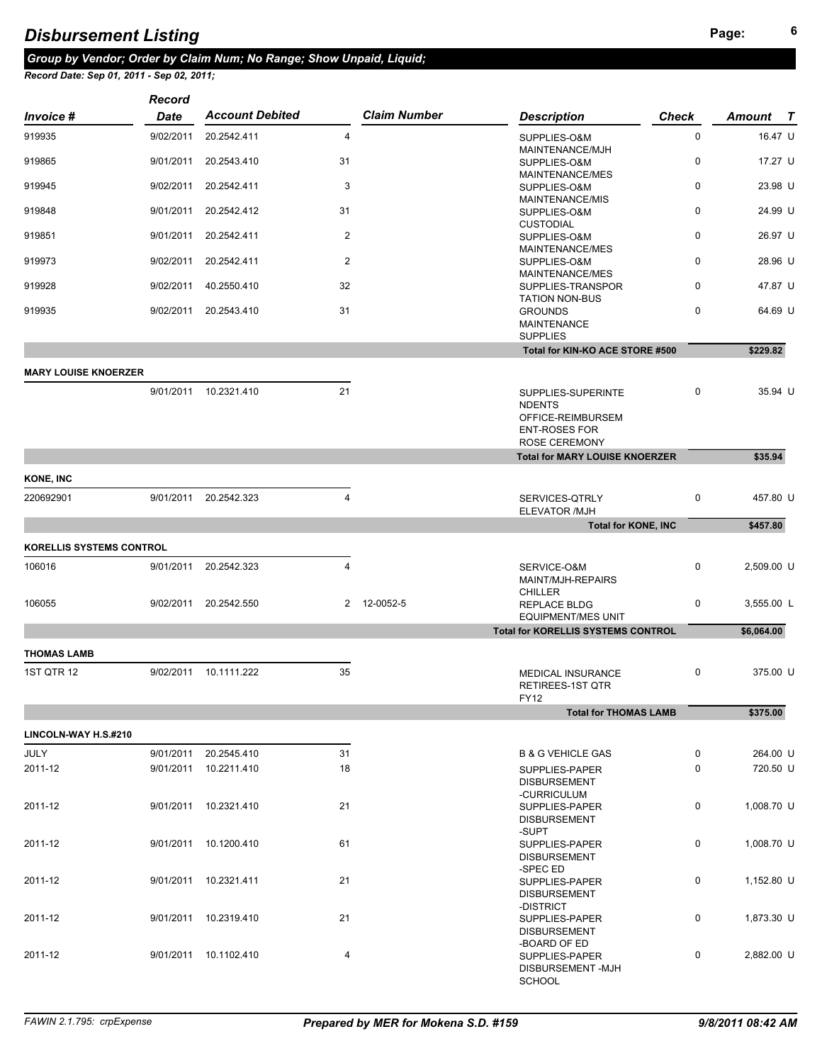## **<sup>6</sup>** *Disbursement Listing*

## *Group by Vendor; Order by Claim Num; No Range; Show Unpaid, Liquid;*

*Record Date: Sep 01, 2011 - Sep 02, 2011;* 

|                                 | <b>Record</b> |                        |                |                     |                                                                                                          |              |            |
|---------------------------------|---------------|------------------------|----------------|---------------------|----------------------------------------------------------------------------------------------------------|--------------|------------|
| <i>Invoice</i> #                | <b>Date</b>   | <b>Account Debited</b> |                | <b>Claim Number</b> | <b>Description</b>                                                                                       | <b>Check</b> | Amount T   |
| 919935                          | 9/02/2011     | 20.2542.411            | 4              |                     | SUPPLIES-O&M<br>MAINTENANCE/MJH                                                                          | 0            | 16.47 U    |
| 919865                          | 9/01/2011     | 20.2543.410            | 31             |                     | SUPPLIES-O&M<br>MAINTENANCE/MES                                                                          | 0            | 17.27 U    |
| 919945                          | 9/02/2011     | 20.2542.411            | 3              |                     | SUPPLIES-O&M<br>MAINTENANCE/MIS                                                                          | 0            | 23.98 U    |
| 919848                          | 9/01/2011     | 20.2542.412            | 31             |                     | SUPPLIES-O&M<br><b>CUSTODIAL</b>                                                                         | 0            | 24.99 U    |
| 919851                          | 9/01/2011     | 20.2542.411            | $\overline{2}$ |                     | SUPPLIES-O&M<br>MAINTENANCE/MES                                                                          | 0            | 26.97 U    |
| 919973                          | 9/02/2011     | 20.2542.411            | $\overline{2}$ |                     | SUPPLIES-O&M<br>MAINTENANCE/MES                                                                          | 0            | 28.96 U    |
| 919928                          | 9/02/2011     | 40.2550.410            | 32             |                     | SUPPLIES-TRANSPOR<br><b>TATION NON-BUS</b>                                                               | $\pmb{0}$    | 47.87 U    |
| 919935                          | 9/02/2011     | 20.2543.410            | 31             |                     | <b>GROUNDS</b><br><b>MAINTENANCE</b><br><b>SUPPLIES</b>                                                  | $\pmb{0}$    | 64.69 U    |
|                                 |               |                        |                |                     | Total for KIN-KO ACE STORE #500                                                                          |              | \$229.82   |
| <b>MARY LOUISE KNOERZER</b>     |               |                        |                |                     |                                                                                                          |              |            |
|                                 | 9/01/2011     | 10.2321.410            | 21             |                     | SUPPLIES-SUPERINTE<br><b>NDENTS</b><br>OFFICE-REIMBURSEM<br><b>ENT-ROSES FOR</b><br><b>ROSE CEREMONY</b> | 0            | 35.94 U    |
|                                 |               |                        |                |                     | <b>Total for MARY LOUISE KNOERZER</b>                                                                    |              | \$35.94    |
| <b>KONE, INC</b>                |               |                        |                |                     |                                                                                                          |              |            |
| 220692901                       | 9/01/2011     | 20.2542.323            | 4              |                     | SERVICES-QTRLY<br>ELEVATOR /MJH                                                                          | 0            | 457.80 U   |
|                                 |               |                        |                |                     | <b>Total for KONE, INC</b>                                                                               |              | \$457.80   |
| <b>KORELLIS SYSTEMS CONTROL</b> |               |                        |                |                     |                                                                                                          |              |            |
| 106016                          | 9/01/2011     | 20.2542.323            | 4              |                     | SERVICE-O&M<br>MAINT/MJH-REPAIRS                                                                         | 0            | 2,509.00 U |
| 106055                          | 9/02/2011     | 20.2542.550            |                | 2 12-0052-5         | <b>CHILLER</b><br><b>REPLACE BLDG</b><br><b>EQUIPMENT/MES UNIT</b>                                       | $\pmb{0}$    | 3,555.00 L |
|                                 |               |                        |                |                     | <b>Total for KORELLIS SYSTEMS CONTROL</b>                                                                |              | \$6,064.00 |
| <b>THOMAS LAMB</b>              |               |                        |                |                     |                                                                                                          |              |            |
| 1ST QTR 12                      | 9/02/2011     | 10.1111.222            | 35             |                     | MEDICAL INSURANCE<br><b>RETIREES-1ST QTR</b><br><b>FY12</b>                                              | 0            | 375.00 U   |
|                                 |               |                        |                |                     | <b>Total for THOMAS LAMB</b>                                                                             |              | \$375.00   |
| LINCOLN-WAY H.S.#210            |               |                        |                |                     |                                                                                                          |              |            |
| JULY                            | 9/01/2011     | 20.2545.410            | 31             |                     | <b>B &amp; G VEHICLE GAS</b>                                                                             | 0            | 264.00 U   |
| 2011-12                         | 9/01/2011     | 10.2211.410            | 18             |                     | SUPPLIES-PAPER<br><b>DISBURSEMENT</b><br>-CURRICULUM                                                     | $\pmb{0}$    | 720.50 U   |
| 2011-12                         |               | 9/01/2011 10.2321.410  | 21             |                     | SUPPLIES-PAPER<br><b>DISBURSEMENT</b><br>-SUPT                                                           | 0            | 1,008.70 U |
| 2011-12                         |               | 9/01/2011 10.1200.410  | 61             |                     | SUPPLIES-PAPER<br><b>DISBURSEMENT</b><br>-SPEC ED                                                        | $\pmb{0}$    | 1,008.70 U |
| 2011-12                         |               | 9/01/2011 10.2321.411  | 21             |                     | SUPPLIES-PAPER<br><b>DISBURSEMENT</b><br>-DISTRICT                                                       | 0            | 1,152.80 U |
| 2011-12                         |               | 9/01/2011 10.2319.410  | 21             |                     | SUPPLIES-PAPER<br><b>DISBURSEMENT</b><br>-BOARD OF ED                                                    | $\pmb{0}$    | 1,873.30 U |
| 2011-12                         |               | 9/01/2011 10.1102.410  | 4              |                     | SUPPLIES-PAPER<br>DISBURSEMENT-MJH                                                                       | 0            | 2,882.00 U |

SCHOOL **SCHOOL**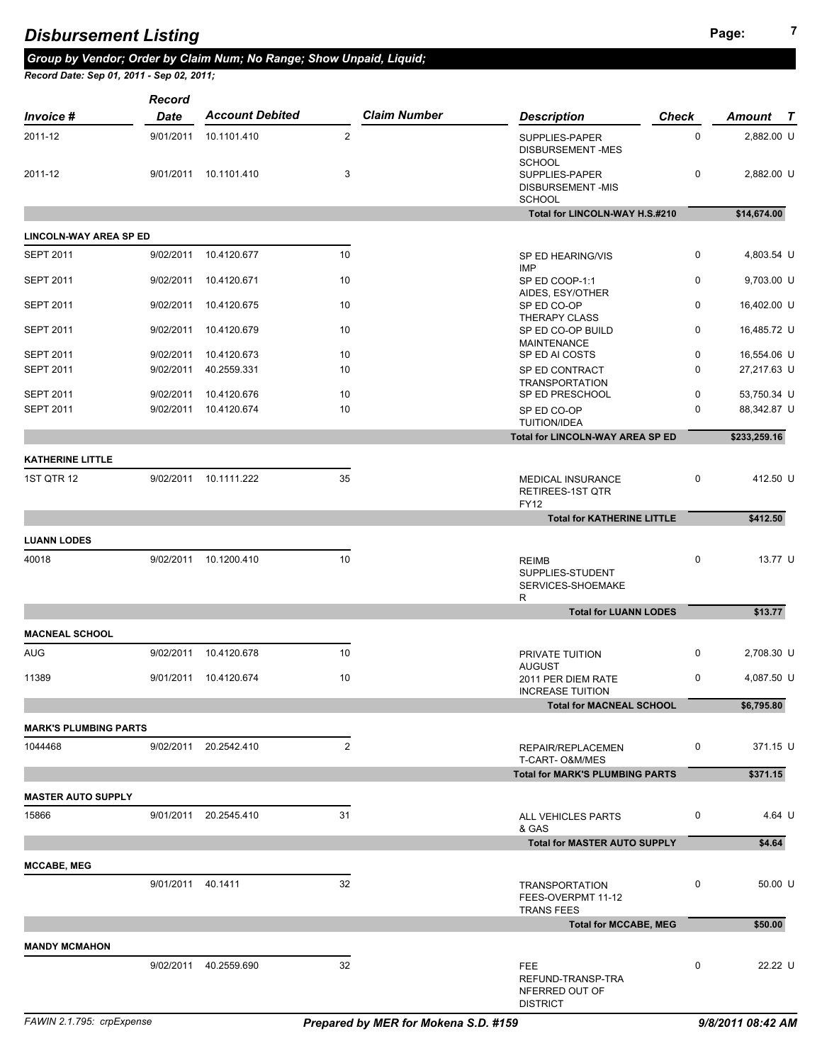## **<sup>7</sup>** *Disbursement Listing*

*Group by Vendor; Order by Claim Num; No Range; Show Unpaid, Liquid; Record Date: Sep 01, 2011 - Sep 02, 2011;* 

|                                      | Record                 |                            |                |                     |                                                                             |              |                            |
|--------------------------------------|------------------------|----------------------------|----------------|---------------------|-----------------------------------------------------------------------------|--------------|----------------------------|
| <b>Invoice</b> #                     | <b>Date</b>            | <b>Account Debited</b>     |                | <b>Claim Number</b> | <b>Description</b>                                                          | <b>Check</b> | Amount<br>$\mathcal{T}$    |
| 2011-12                              | 9/01/2011              | 10.1101.410                | $\overline{2}$ |                     | SUPPLIES-PAPER<br>DISBURSEMENT-MES                                          | 0            | 2,882.00 U                 |
| 2011-12                              |                        | 9/01/2011 10.1101.410      | 3              |                     | <b>SCHOOL</b><br>SUPPLIES-PAPER<br><b>DISBURSEMENT-MIS</b><br><b>SCHOOL</b> | 0            | 2,882.00 U                 |
|                                      |                        |                            |                |                     | Total for LINCOLN-WAY H.S.#210                                              |              | \$14,674.00                |
| <b>LINCOLN-WAY AREA SP ED</b>        |                        |                            |                |                     |                                                                             |              |                            |
| <b>SEPT 2011</b>                     | 9/02/2011              | 10.4120.677                | 10             |                     | SP ED HEARING/VIS<br><b>IMP</b>                                             | 0            | 4,803.54 U                 |
| <b>SEPT 2011</b>                     | 9/02/2011              | 10.4120.671                | 10             |                     | SP ED COOP-1:1<br>AIDES, ESY/OTHER                                          | 0            | 9,703.00 U                 |
| <b>SEPT 2011</b>                     | 9/02/2011              | 10.4120.675                | 10             |                     | SP ED CO-OP<br>THERAPY CLASS                                                | 0            | 16,402.00 U                |
| <b>SEPT 2011</b>                     | 9/02/2011              | 10.4120.679                | 10             |                     | SP ED CO-OP BUILD<br>MAINTENANCE                                            | $\mathbf 0$  | 16,485.72 U                |
| <b>SEPT 2011</b>                     | 9/02/2011              | 10.4120.673                | 10             |                     | SP ED AI COSTS                                                              | 0            | 16,554.06 U                |
| <b>SEPT 2011</b><br><b>SEPT 2011</b> | 9/02/2011<br>9/02/2011 | 40.2559.331<br>10.4120.676 | 10<br>10       |                     | SP ED CONTRACT<br><b>TRANSPORTATION</b><br>SP ED PRESCHOOL                  | 0<br>0       | 27,217.63 U<br>53,750.34 U |
| <b>SEPT 2011</b>                     | 9/02/2011              | 10.4120.674                | 10             |                     | SP ED CO-OP<br><b>TUITION/IDEA</b>                                          | 0            | 88,342.87 U                |
|                                      |                        |                            |                |                     | <b>Total for LINCOLN-WAY AREA SP ED</b>                                     |              | \$233,259.16               |
| <b>KATHERINE LITTLE</b>              |                        |                            |                |                     |                                                                             |              |                            |
| 1ST QTR 12                           |                        | 9/02/2011 10.1111.222      | 35             |                     | <b>MEDICAL INSURANCE</b><br>RETIREES-1ST QTR<br><b>FY12</b>                 | $\mathbf 0$  | 412.50 U                   |
|                                      |                        |                            |                |                     | <b>Total for KATHERINE LITTLE</b>                                           |              | \$412.50                   |
| <b>LUANN LODES</b>                   |                        |                            |                |                     |                                                                             |              |                            |
| 40018                                |                        | 9/02/2011 10.1200.410      | 10             |                     | <b>REIMB</b><br>SUPPLIES-STUDENT<br>SERVICES-SHOEMAKE<br>R                  | 0            | 13.77 U                    |
|                                      |                        |                            |                |                     | <b>Total for LUANN LODES</b>                                                |              | \$13.77                    |
| <b>MACNEAL SCHOOL</b>                |                        |                            |                |                     |                                                                             |              |                            |
| <b>AUG</b>                           | 9/02/2011              | 10.4120.678                | 10             |                     | PRIVATE TUITION                                                             | $\mathbf 0$  | 2,708.30 U                 |
| 11389                                |                        | 9/01/2011 10.4120.674      | 10             |                     | <b>AUGUST</b><br>2011 PER DIEM RATE<br><b>INCREASE TUITION</b>              | 0            | 4,087.50 U                 |
|                                      |                        |                            |                |                     | <b>Total for MACNEAL SCHOOL</b>                                             |              | \$6,795.80                 |
| <b>MARK'S PLUMBING PARTS</b>         |                        |                            |                |                     |                                                                             |              |                            |
| 1044468                              |                        | 9/02/2011 20.2542.410      | $\overline{2}$ |                     | REPAIR/REPLACEMEN<br>T-CART- O&M/MES                                        | 0            | 371.15 U                   |
|                                      |                        |                            |                |                     | <b>Total for MARK'S PLUMBING PARTS</b>                                      |              | \$371.15                   |
| <b>MASTER AUTO SUPPLY</b>            |                        |                            |                |                     |                                                                             |              |                            |
| 15866                                |                        | 9/01/2011 20.2545.410      | 31             |                     | ALL VEHICLES PARTS<br>& GAS                                                 | 0            | 4.64 U                     |
|                                      |                        |                            |                |                     | <b>Total for MASTER AUTO SUPPLY</b>                                         |              | \$4.64                     |
| <b>MCCABE, MEG</b>                   |                        |                            |                |                     |                                                                             |              |                            |
|                                      | 9/01/2011 40.1411      |                            | 32             |                     | <b>TRANSPORTATION</b><br>FEES-OVERPMT 11-12                                 | 0            | 50.00 U                    |
|                                      |                        |                            |                |                     | <b>TRANS FEES</b><br><b>Total for MCCABE, MEG</b>                           |              | \$50.00                    |
|                                      |                        |                            |                |                     |                                                                             |              |                            |
| <b>MANDY MCMAHON</b>                 |                        |                            |                |                     |                                                                             |              |                            |
|                                      |                        | 9/02/2011 40.2559.690      | 32             |                     | FEE<br>REFUND-TRANSP-TRA<br>NFERRED OUT OF<br><b>DISTRICT</b>               | 0            | 22.22 U                    |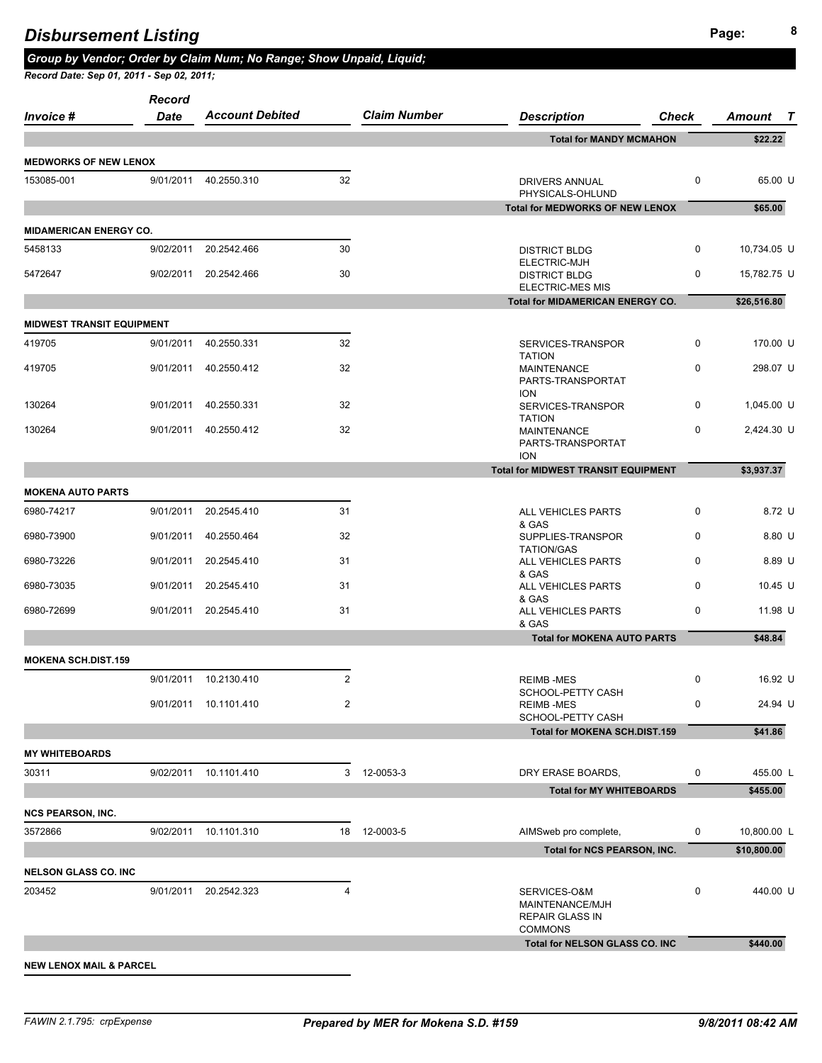| <i>Invoice</i> #                 | Record<br><b>Date</b> | <b>Account Debited</b> |                | <b>Claim Number</b> | <b>Description</b>                                                          | <b>Check</b> | Amount<br>$\bm{T}$         |
|----------------------------------|-----------------------|------------------------|----------------|---------------------|-----------------------------------------------------------------------------|--------------|----------------------------|
|                                  |                       |                        |                |                     | <b>Total for MANDY MCMAHON</b>                                              |              | \$22.22                    |
| <b>MEDWORKS OF NEW LENOX</b>     |                       |                        |                |                     |                                                                             |              |                            |
| 153085-001                       | 9/01/2011             | 40.2550.310            | 32             |                     | DRIVERS ANNUAL<br>PHYSICALS-OHLUND                                          | 0            | 65.00 U                    |
|                                  |                       |                        |                |                     | <b>Total for MEDWORKS OF NEW LENOX</b>                                      |              | \$65.00                    |
| <b>MIDAMERICAN ENERGY CO.</b>    |                       |                        |                |                     |                                                                             |              |                            |
| 5458133                          | 9/02/2011             | 20.2542.466            | 30             |                     | <b>DISTRICT BLDG</b><br>ELECTRIC-MJH                                        | 0            | 10,734.05 U                |
| 5472647                          | 9/02/2011             | 20.2542.466            | 30             |                     | <b>DISTRICT BLDG</b><br><b>ELECTRIC-MES MIS</b>                             | 0            | 15,782.75 U                |
|                                  |                       |                        |                |                     | <b>Total for MIDAMERICAN ENERGY CO.</b>                                     |              | \$26,516.80                |
| <b>MIDWEST TRANSIT EQUIPMENT</b> |                       |                        |                |                     |                                                                             |              |                            |
| 419705                           | 9/01/2011             | 40.2550.331            | 32             |                     | SERVICES-TRANSPOR<br><b>TATION</b>                                          | 0            | 170.00 U                   |
| 419705                           | 9/01/2011             | 40.2550.412            | 32             |                     | <b>MAINTENANCE</b><br>PARTS-TRANSPORTAT<br><b>ION</b>                       | 0            | 298.07 U                   |
| 130264                           | 9/01/2011             | 40.2550.331            | 32             |                     | SERVICES-TRANSPOR<br><b>TATION</b>                                          | 0            | 1,045.00 U                 |
| 130264                           | 9/01/2011             | 40.2550.412            | 32             |                     | <b>MAINTENANCE</b><br>PARTS-TRANSPORTAT                                     | 0            | 2,424.30 U                 |
|                                  |                       |                        |                |                     | <b>ION</b><br><b>Total for MIDWEST TRANSIT EQUIPMENT</b>                    |              | \$3,937.37                 |
| <b>MOKENA AUTO PARTS</b>         |                       |                        |                |                     |                                                                             |              |                            |
| 6980-74217                       | 9/01/2011             | 20.2545.410            | 31             |                     | ALL VEHICLES PARTS                                                          | 0            | 8.72 U                     |
| 6980-73900                       | 9/01/2011             | 40.2550.464            | 32             |                     | & GAS<br>SUPPLIES-TRANSPOR                                                  | 0            | $8.80$ U                   |
| 6980-73226                       | 9/01/2011             | 20.2545.410            | 31             |                     | <b>TATION/GAS</b><br>ALL VEHICLES PARTS                                     | 0            | 8.89 U                     |
| 6980-73035                       | 9/01/2011             | 20.2545.410            | 31             |                     | & GAS<br>ALL VEHICLES PARTS<br>& GAS                                        | 0            | 10.45 U                    |
| 6980-72699                       | 9/01/2011             | 20.2545.410            | 31             |                     | ALL VEHICLES PARTS<br>& GAS                                                 | 0            | 11.98 U                    |
|                                  |                       |                        |                |                     | <b>Total for MOKENA AUTO PARTS</b>                                          |              | \$48.84                    |
| <b>MOKENA SCH.DIST.159</b>       |                       |                        |                |                     |                                                                             |              |                            |
|                                  |                       | 9/01/2011 10.2130.410  | $\overline{2}$ |                     | <b>REIMB-MES</b><br>SCHOOL-PETTY CASH                                       | 0            | 16.92 U                    |
|                                  |                       | 9/01/2011 10.1101.410  | $\overline{2}$ |                     | <b>REIMB-MES</b><br>SCHOOL-PETTY CASH                                       | 0            | 24.94 U                    |
|                                  |                       |                        |                |                     | <b>Total for MOKENA SCH.DIST.159</b>                                        |              | \$41.86                    |
| <b>MY WHITEBOARDS</b>            |                       |                        |                |                     |                                                                             |              |                            |
| 30311                            |                       | 9/02/2011 10.1101.410  |                | 3 12-0053-3         | DRY ERASE BOARDS,                                                           | 0            | 455.00 L                   |
|                                  |                       |                        |                |                     | <b>Total for MY WHITEBOARDS</b>                                             |              | \$455.00                   |
| <b>NCS PEARSON, INC.</b>         |                       |                        |                |                     |                                                                             |              |                            |
| 3572866                          |                       | 9/02/2011 10.1101.310  |                | 18  12-0003-5       | AIMSweb pro complete,<br>Total for NCS PEARSON, INC.                        | 0            | 10,800.00 L<br>\$10,800.00 |
|                                  |                       |                        |                |                     |                                                                             |              |                            |
| <b>NELSON GLASS CO. INC</b>      |                       |                        |                |                     |                                                                             |              |                            |
| 203452                           | 9/01/2011             | 20.2542.323            | 4              |                     | SERVICES-O&M<br>MAINTENANCE/MJH<br><b>REPAIR GLASS IN</b><br><b>COMMONS</b> | 0            | 440.00 U                   |
|                                  |                       |                        |                |                     | Total for NELSON GLASS CO. INC                                              |              | \$440.00                   |
|                                  |                       |                        |                |                     |                                                                             |              |                            |

**NEW LENOX MAIL & PARCEL**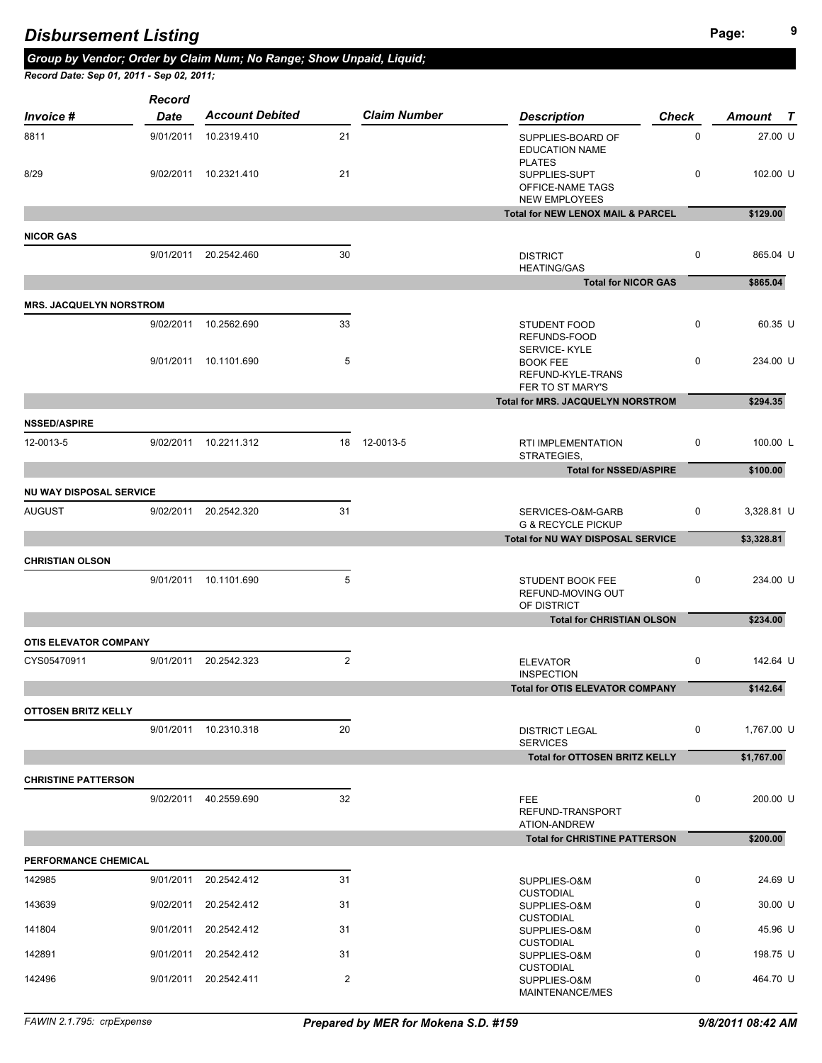*Group by Vendor; Order by Claim Num; No Range; Show Unpaid, Liquid;* 

| Invoice #                      | Record<br><b>Date</b> | <b>Account Debited</b> |                | <b>Claim Number</b> | <b>Description</b>                                                         | <b>Check</b> | Amount T   |
|--------------------------------|-----------------------|------------------------|----------------|---------------------|----------------------------------------------------------------------------|--------------|------------|
| 8811                           | 9/01/2011             | 10.2319.410            | 21             |                     | SUPPLIES-BOARD OF<br><b>EDUCATION NAME</b>                                 | $\mathsf 0$  | 27.00 U    |
| 8/29                           | 9/02/2011             | 10.2321.410            | 21             |                     | <b>PLATES</b><br>SUPPLIES-SUPT<br>OFFICE-NAME TAGS<br><b>NEW EMPLOYEES</b> | 0            | 102.00 U   |
|                                |                       |                        |                |                     | <b>Total for NEW LENOX MAIL &amp; PARCEL</b>                               |              | \$129.00   |
| <b>NICOR GAS</b>               |                       |                        |                |                     |                                                                            |              |            |
|                                |                       | 9/01/2011 20.2542.460  | 30             |                     | <b>DISTRICT</b><br><b>HEATING/GAS</b>                                      | 0            | 865.04 U   |
|                                |                       |                        |                |                     | <b>Total for NICOR GAS</b>                                                 |              | \$865.04   |
| <b>MRS. JACQUELYN NORSTROM</b> |                       |                        |                |                     |                                                                            |              |            |
|                                |                       | 9/02/2011 10.2562.690  | 33             |                     | <b>STUDENT FOOD</b><br>REFUNDS-FOOD                                        | 0            | 60.35 U    |
|                                |                       | 9/01/2011 10.1101.690  | 5              |                     | SERVICE-KYLE<br><b>BOOK FEE</b><br>REFUND-KYLE-TRANS<br>FER TO ST MARY'S   | 0            | 234.00 U   |
|                                |                       |                        |                |                     | Total for MRS. JACQUELYN NORSTROM                                          |              | \$294.35   |
| <b>NSSED/ASPIRE</b>            |                       |                        |                |                     |                                                                            |              |            |
| 12-0013-5                      |                       | 9/02/2011 10.2211.312  |                | 18 12-0013-5        | RTI IMPLEMENTATION<br>STRATEGIES,                                          | 0            | 100.00 L   |
|                                |                       |                        |                |                     | <b>Total for NSSED/ASPIRE</b>                                              |              | \$100.00   |
| NU WAY DISPOSAL SERVICE        |                       |                        |                |                     |                                                                            |              |            |
| AUGUST                         |                       | 9/02/2011 20.2542.320  | 31             |                     | SERVICES-O&M-GARB<br><b>G &amp; RECYCLE PICKUP</b>                         | 0            | 3,328.81 U |
|                                |                       |                        |                |                     | <b>Total for NU WAY DISPOSAL SERVICE</b>                                   |              | \$3,328.81 |
| CHRISTIAN OLSON                |                       |                        |                |                     |                                                                            |              |            |
|                                |                       | 9/01/2011 10.1101.690  | 5              |                     | STUDENT BOOK FEE<br>REFUND-MOVING OUT<br>OF DISTRICT                       | 0            | 234.00 U   |
|                                |                       |                        |                |                     | <b>Total for CHRISTIAN OLSON</b>                                           |              | \$234.00   |
| <b>OTIS ELEVATOR COMPANY</b>   |                       |                        |                |                     |                                                                            |              |            |
| CYS05470911                    | 9/01/2011             | 20.2542.323            | $\overline{2}$ |                     | <b>ELEVATOR</b><br><b>INSPECTION</b>                                       | 0            | 142.64 U   |
|                                |                       |                        |                |                     | <b>Total for OTIS ELEVATOR COMPANY</b>                                     |              | \$142.64   |
| OTTOSEN BRITZ KELLY            |                       |                        |                |                     |                                                                            |              |            |
|                                |                       | 9/01/2011 10.2310.318  | 20             |                     | <b>DISTRICT LEGAL</b><br><b>SERVICES</b>                                   | 0            | 1,767.00 U |
|                                |                       |                        |                |                     | <b>Total for OTTOSEN BRITZ KELLY</b>                                       |              | \$1,767.00 |
| <b>CHRISTINE PATTERSON</b>     |                       |                        |                |                     |                                                                            |              |            |
|                                |                       | 9/02/2011 40.2559.690  | 32             |                     | <b>FEE</b><br>REFUND-TRANSPORT<br>ATION-ANDREW                             | 0            | 200.00 U   |
|                                |                       |                        |                |                     | <b>Total for CHRISTINE PATTERSON</b>                                       |              | \$200.00   |
| <b>PERFORMANCE CHEMICAL</b>    |                       |                        |                |                     |                                                                            |              |            |
| 142985                         |                       | 9/01/2011 20.2542.412  | 31             |                     | SUPPLIES-O&M<br><b>CLISTODIAL</b>                                          | 0            | 24.69 U    |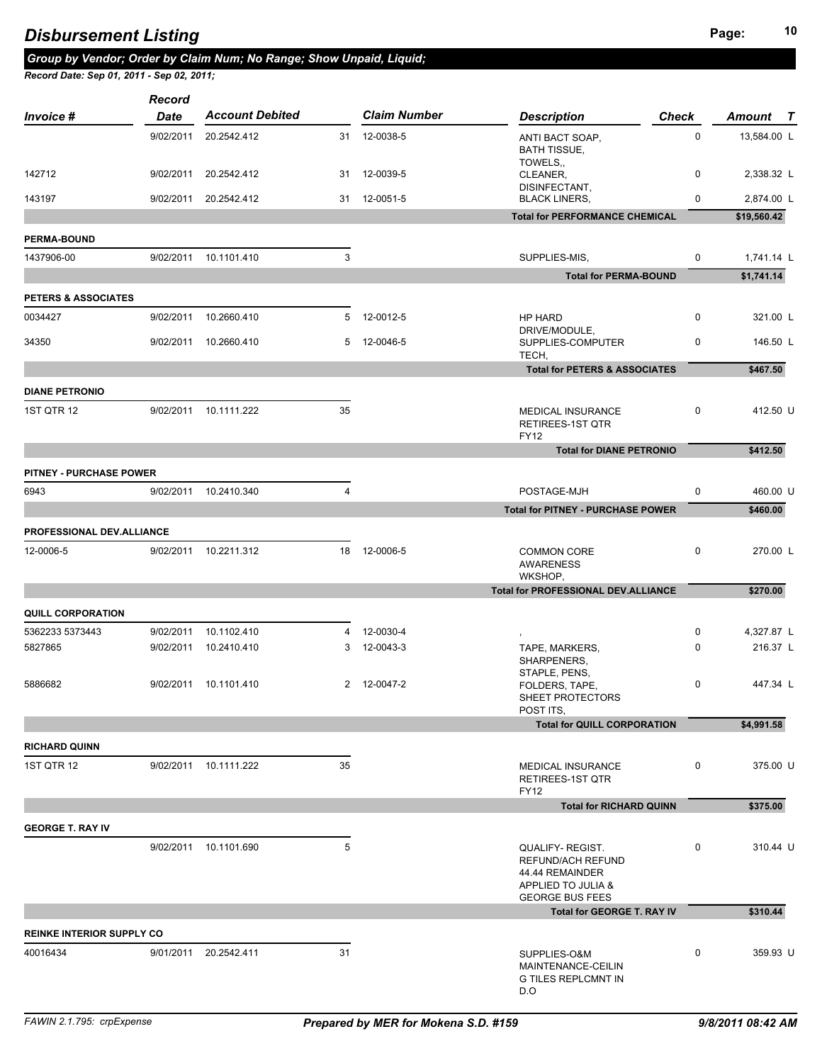## **10 Disbursement Listing 10 Dispute 10 Dispute 10 Page:** 10

*Group by Vendor; Order by Claim Num; No Range; Show Unpaid, Liquid; Record Date: Sep 01, 2011 - Sep 02, 2011;* 

| <i>Invoice</i> #                 | Record<br><b>Date</b> | <b>Account Debited</b> |                | <b>Claim Number</b> | <b>Description</b>                                                                                   | <b>Check</b> | Amount T    |
|----------------------------------|-----------------------|------------------------|----------------|---------------------|------------------------------------------------------------------------------------------------------|--------------|-------------|
|                                  | 9/02/2011             | 20.2542.412            |                | 31 12-0038-5        | ANTI BACT SOAP,<br><b>BATH TISSUE,</b>                                                               | 0            | 13,584.00 L |
| 142712                           | 9/02/2011             | 20.2542.412            | 31             | 12-0039-5           | TOWELS,<br>CLEANER,                                                                                  | 0            | 2,338.32 L  |
| 143197                           | 9/02/2011             | 20.2542.412            |                | 31 12-0051-5        | DISINFECTANT,<br><b>BLACK LINERS,</b>                                                                | 0            | 2,874.00 L  |
|                                  |                       |                        |                |                     | <b>Total for PERFORMANCE CHEMICAL</b>                                                                |              | \$19,560.42 |
| <b>PERMA-BOUND</b>               |                       |                        |                |                     |                                                                                                      |              |             |
| 1437906-00                       |                       | 9/02/2011 10.1101.410  | 3              |                     | SUPPLIES-MIS,                                                                                        | 0            | 1,741.14 L  |
|                                  |                       |                        |                |                     | <b>Total for PERMA-BOUND</b>                                                                         |              | \$1,741.14  |
| <b>PETERS &amp; ASSOCIATES</b>   |                       |                        |                |                     |                                                                                                      |              |             |
| 0034427                          | 9/02/2011             | 10.2660.410            |                | 5 12-0012-5         | HP HARD<br>DRIVE/MODULE,                                                                             | 0            | 321.00 L    |
| 34350                            | 9/02/2011             | 10.2660.410            |                | 5 12-0046-5         | SUPPLIES-COMPUTER<br>TECH,                                                                           | 0            | 146.50 L    |
|                                  |                       |                        |                |                     | <b>Total for PETERS &amp; ASSOCIATES</b>                                                             |              | \$467.50    |
| <b>DIANE PETRONIO</b>            |                       |                        |                |                     |                                                                                                      |              |             |
| <b>1ST QTR 12</b>                | 9/02/2011             | 10.1111.222            | 35             |                     | <b>MEDICAL INSURANCE</b><br>RETIREES-1ST QTR<br><b>FY12</b>                                          | 0            | 412.50 U    |
|                                  |                       |                        |                |                     | <b>Total for DIANE PETRONIO</b>                                                                      |              | \$412.50    |
| <b>PITNEY - PURCHASE POWER</b>   |                       |                        |                |                     |                                                                                                      |              |             |
| 6943                             |                       | 9/02/2011 10.2410.340  | $\overline{4}$ |                     | POSTAGE-MJH                                                                                          | 0            | 460.00 U    |
|                                  |                       |                        |                |                     | <b>Total for PITNEY - PURCHASE POWER</b>                                                             |              | \$460.00    |
| <b>PROFESSIONAL DEV.ALLIANCE</b> |                       |                        |                |                     |                                                                                                      |              |             |
| 12-0006-5                        |                       | 9/02/2011 10.2211.312  | 18             | 12-0006-5           | <b>COMMON CORE</b><br><b>AWARENESS</b><br>WKSHOP,                                                    | 0            | 270.00 L    |
|                                  |                       |                        |                |                     | <b>Total for PROFESSIONAL DEV.ALLIANCE</b>                                                           |              | \$270.00    |
| <b>QUILL CORPORATION</b>         |                       |                        |                |                     |                                                                                                      |              |             |
| 5362233 5373443                  | 9/02/2011             | 10.1102.410            | 4              | 12-0030-4           |                                                                                                      | 0            | 4,327.87 L  |
| 5827865                          |                       | 9/02/2011 10.2410.410  | 3              | 12-0043-3           | $^\mathrm{^\mathrm{^\mathrm{^\mathrm{^\mathrm{^\mathrm{^\mathrm{^\mathrm{}}}}}}}}$<br>TAPE, MARKERS, | 0            | 216.37 L    |
|                                  |                       |                        |                |                     | SHARPENERS,<br>STAPLE, PENS,                                                                         |              |             |
| 5886682                          |                       | 9/02/2011 10.1101.410  |                | 2 12-0047-2         | FOLDERS, TAPE,<br>SHEET PROTECTORS<br>POST ITS,                                                      | 0            | 447.34 L    |
|                                  |                       |                        |                |                     | <b>Total for QUILL CORPORATION</b>                                                                   |              | \$4,991.58  |
| <b>RICHARD QUINN</b>             |                       |                        |                |                     |                                                                                                      |              |             |
| <b>1ST QTR 12</b>                |                       | 9/02/2011 10.1111.222  | 35             |                     | <b>MEDICAL INSURANCE</b><br>RETIREES-1ST QTR<br><b>FY12</b>                                          | 0            | 375.00 U    |
|                                  |                       |                        |                |                     | <b>Total for RICHARD QUINN</b>                                                                       |              | \$375.00    |
| <b>GEORGE T. RAY IV</b>          |                       |                        |                |                     |                                                                                                      |              |             |
|                                  |                       | 9/02/2011 10.1101.690  | 5              |                     | <b>QUALIFY- REGIST.</b>                                                                              | 0            | 310.44 U    |
|                                  |                       |                        |                |                     | REFUND/ACH REFUND<br>44.44 REMAINDER<br>APPLIED TO JULIA &<br><b>GEORGE BUS FEES</b>                 |              |             |
|                                  |                       |                        |                |                     | Total for GEORGE T. RAY IV                                                                           |              | \$310.44    |
| <b>REINKE INTERIOR SUPPLY CO</b> |                       |                        |                |                     |                                                                                                      |              |             |
| 40016434                         |                       | 9/01/2011 20.2542.411  | 31             |                     | SUPPLIES-O&M<br>MAINTENANCE-CEILIN<br><b>G TILES REPLCMNT IN</b><br>D.O                              | 0            | 359.93 U    |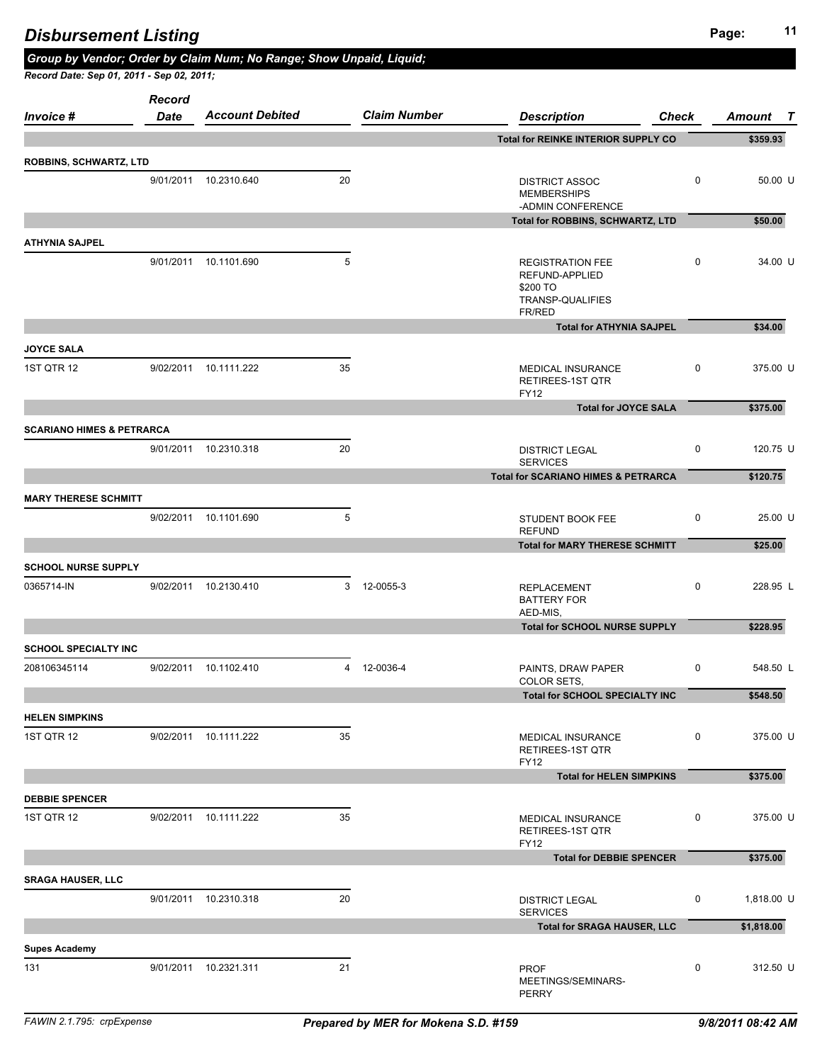|                                      | 9/01/2011 10.2310.640 | 20 |             | <b>DISTRICT ASSOC</b><br><b>MEMBERSHIPS</b><br>-ADMIN CONFERENCE                    | 0 | 50.00 U    |
|--------------------------------------|-----------------------|----|-------------|-------------------------------------------------------------------------------------|---|------------|
|                                      |                       |    |             | Total for ROBBINS, SCHWARTZ, LTD                                                    |   | \$50.00    |
| ATHYNIA SAJPEL                       |                       |    |             |                                                                                     |   |            |
|                                      | 9/01/2011 10.1101.690 | 5  |             | <b>REGISTRATION FEE</b><br>REFUND-APPLIED<br>\$200 TO<br>TRANSP-QUALIFIES<br>FR/RED | 0 | 34.00 U    |
|                                      |                       |    |             | <b>Total for ATHYNIA SAJPEL</b>                                                     |   | \$34.00    |
| <b>JOYCE SALA</b>                    |                       |    |             |                                                                                     |   |            |
| 1ST QTR 12                           | 9/02/2011 10.1111.222 | 35 |             | <b>MEDICAL INSURANCE</b><br>RETIREES-1ST QTR<br><b>FY12</b>                         | 0 | 375.00 U   |
|                                      |                       |    |             | <b>Total for JOYCE SALA</b>                                                         |   | \$375.00   |
| <b>SCARIANO HIMES &amp; PETRARCA</b> |                       |    |             |                                                                                     |   |            |
|                                      | 9/01/2011 10.2310.318 | 20 |             | <b>DISTRICT LEGAL</b><br><b>SERVICES</b>                                            | 0 | 120.75 U   |
|                                      |                       |    |             | <b>Total for SCARIANO HIMES &amp; PETRARCA</b>                                      |   | \$120.75   |
| <b>MARY THERESE SCHMITT</b>          |                       |    |             |                                                                                     |   |            |
|                                      | 9/02/2011 10.1101.690 | 5  |             | STUDENT BOOK FEE<br><b>REFUND</b>                                                   | 0 | 25.00 U    |
|                                      |                       |    |             | <b>Total for MARY THERESE SCHMITT</b>                                               |   | \$25.00    |
| <b>SCHOOL NURSE SUPPLY</b>           |                       |    |             |                                                                                     |   |            |
| 0365714-IN                           | 9/02/2011 10.2130.410 |    | 3 12-0055-3 | <b>REPLACEMENT</b><br><b>BATTERY FOR</b><br>AED-MIS,                                | 0 | 228.95 L   |
|                                      |                       |    |             | <b>Total for SCHOOL NURSE SUPPLY</b>                                                |   | \$228.95   |
| <b>SCHOOL SPECIALTY INC</b>          |                       |    |             |                                                                                     |   |            |
| 208106345114                         | 9/02/2011 10.1102.410 |    | 4 12-0036-4 | PAINTS, DRAW PAPER<br>COLOR SETS,                                                   | 0 | 548.50 L   |
|                                      |                       |    |             | Total for SCHOOL SPECIALTY INC                                                      |   | \$548.50   |
| <b>HELEN SIMPKINS</b>                |                       |    |             |                                                                                     |   |            |
| 1ST QTR 12                           | 9/02/2011 10.1111.222 | 35 |             | MEDICAL INSURANCE<br>RETIREES-1ST QTR<br><b>FY12</b>                                | 0 | 375.00 U   |
|                                      |                       |    |             | <b>Total for HELEN SIMPKINS</b>                                                     |   | \$375.00   |
| <b>DEBBIE SPENCER</b>                |                       |    |             |                                                                                     |   |            |
| 1ST QTR 12                           | 9/02/2011 10.1111.222 | 35 |             | MEDICAL INSURANCE<br>RETIREES-1ST QTR<br><b>FY12</b>                                | 0 | 375.00 U   |
|                                      |                       |    |             | <b>Total for DEBBIE SPENCER</b>                                                     |   | \$375.00   |
| SRAGA HAUSER, LLC                    |                       |    |             |                                                                                     |   |            |
|                                      | 9/01/2011 10.2310.318 | 20 |             | <b>DISTRICT LEGAL</b><br><b>SERVICES</b>                                            | 0 | 1,818.00 U |
|                                      |                       |    |             | <b>Total for SRAGA HAUSER, LLC</b>                                                  |   | \$1,818.00 |
| <b>Supes Academy</b>                 |                       |    |             |                                                                                     |   |            |
| 131                                  | 9/01/2011 10.2321.311 | 21 |             | <b>PROF</b><br>MEETINGS/SEMINARS-<br>PERRY                                          | 0 | 312.50 U   |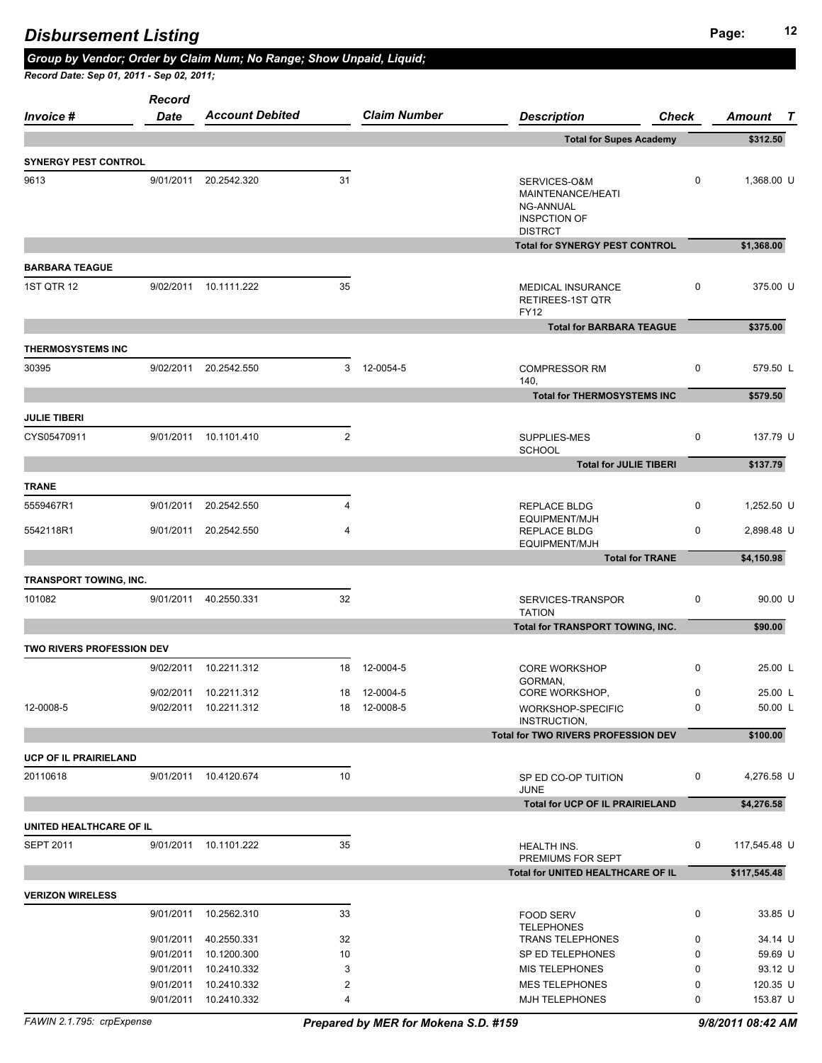| Record Date: Sep 01, 2011 - Sep 02, 2011; |               | Group by Vendor; Order by Claim Num; No Range; Show Unpaid, Liquid; |              |                     |                                                                                         |                        |                        |
|-------------------------------------------|---------------|---------------------------------------------------------------------|--------------|---------------------|-----------------------------------------------------------------------------------------|------------------------|------------------------|
|                                           | <b>Record</b> |                                                                     |              |                     |                                                                                         |                        |                        |
| <i>Invoice</i> #                          | Date          | <b>Account Debited</b>                                              |              | <b>Claim Number</b> | <b>Description</b>                                                                      | <b>Check</b>           | Amount<br>$\mathbf{r}$ |
|                                           |               |                                                                     |              |                     | <b>Total for Supes Academy</b>                                                          |                        | \$312.50               |
| <b>SYNERGY PEST CONTROL</b>               |               |                                                                     |              |                     |                                                                                         |                        |                        |
| 9613                                      |               | 9/01/2011 20.2542.320                                               | 31           |                     | SERVICES-O&M<br>MAINTENANCE/HEATI<br>NG-ANNUAL<br><b>INSPCTION OF</b><br><b>DISTRCT</b> | 0                      | 1,368.00 U             |
|                                           |               |                                                                     |              |                     | <b>Total for SYNERGY PEST CONTROL</b>                                                   |                        | \$1,368.00             |
| <b>BARBARA TEAGUE</b>                     |               |                                                                     |              |                     |                                                                                         |                        |                        |
| <b>1ST QTR 12</b>                         |               | 9/02/2011 10.1111.222                                               | 35           |                     | MEDICAL INSURANCE<br>RETIREES-1ST QTR<br><b>FY12</b>                                    | 0                      | 375.00 U               |
|                                           |               |                                                                     |              |                     | <b>Total for BARBARA TEAGUE</b>                                                         |                        | \$375.00               |
| <b>THERMOSYSTEMS INC</b>                  |               |                                                                     |              |                     |                                                                                         |                        |                        |
| 30395                                     | 9/02/2011     | 20.2542.550                                                         |              | 3 12-0054-5         | <b>COMPRESSOR RM</b><br>140,                                                            | 0                      | 579.50 L               |
|                                           |               |                                                                     |              |                     | <b>Total for THERMOSYSTEMS INC</b>                                                      |                        | \$579.50               |
| <b>JULIE TIBERI</b>                       |               |                                                                     |              |                     |                                                                                         |                        |                        |
| CYS05470911                               |               | 9/01/2011 10.1101.410                                               | $\mathbf{2}$ |                     | SUPPLIES-MES<br><b>SCHOOL</b>                                                           | 0                      | 137.79 U               |
|                                           |               |                                                                     |              |                     | <b>Total for JULIE TIBERI</b>                                                           |                        | \$137.79               |
| <b>TRANE</b>                              |               |                                                                     |              |                     |                                                                                         |                        |                        |
| 5559467R1                                 | 9/01/2011     | 20.2542.550                                                         | 4            |                     | REPLACE BLDG                                                                            | 0                      | 1,252.50 U             |
| 5542118R1                                 | 9/01/2011     | 20.2542.550                                                         | 4            |                     | EQUIPMENT/MJH<br><b>REPLACE BLDG</b><br>EQUIPMENT/MJH                                   | 0                      | 2,898.48 U             |
|                                           |               |                                                                     |              |                     |                                                                                         | <b>Total for TRANE</b> | \$4,150.98             |
| <b>TRANSPORT TOWING, INC.</b>             |               |                                                                     |              |                     |                                                                                         |                        |                        |
| 101082                                    |               | 9/01/2011 40.2550.331                                               | 32           |                     | SERVICES-TRANSPOR<br><b>TATION</b>                                                      | 0                      | 90.00 U                |
|                                           |               |                                                                     |              |                     | Total for TRANSPORT TOWING, INC.                                                        |                        | \$90.00                |
| TWO RIVERS PROFESSION DEV                 |               |                                                                     |              |                     |                                                                                         |                        |                        |
|                                           | 9/02/2011     | 10.2211.312                                                         | 18           | 12-0004-5           | <b>CORE WORKSHOP</b><br>GORMAN,                                                         | 0                      | 25.00 L                |
|                                           |               | 9/02/2011 10.2211.312                                               |              | 18 12-0004-5        | CORE WORKSHOP,                                                                          | 0                      | 25.00 L                |
| 12-0008-5                                 |               | 9/02/2011 10.2211.312                                               |              | 18 12-0008-5        | WORKSHOP-SPECIFIC<br>INSTRUCTION,                                                       | 0                      | 50.00 L                |
|                                           |               |                                                                     |              |                     | <b>Total for TWO RIVERS PROFESSION DEV</b>                                              |                        | \$100.00               |
| <b>UCP OF IL PRAIRIELAND</b>              |               |                                                                     |              |                     |                                                                                         |                        |                        |
| 20110618                                  |               | 9/01/2011 10.4120.674                                               | 10           |                     | SP ED CO-OP TUITION                                                                     | 0                      | 4,276.58 U             |

**UNITED HEALTHCARE OF IL**

| <b>SEPT 2011</b>        | 9/01/2011 | 10.1101.222 | 35 | <b>HEALTH INS.</b><br>PREMIUMS FOR SEPT | 0        | 117,545.48 U |
|-------------------------|-----------|-------------|----|-----------------------------------------|----------|--------------|
|                         |           |             |    | Total for UNITED HEALTHCARE OF IL       |          | \$117,545.48 |
| <b>VERIZON WIRELESS</b> |           |             |    |                                         |          |              |
|                         | 9/01/2011 | 10.2562.310 | 33 | <b>FOOD SERV</b><br><b>TELEPHONES</b>   | $\Omega$ | 33.85 U      |
|                         | 9/01/2011 | 40.2550.331 | 32 | <b>TRANS TELEPHONES</b>                 | $\Omega$ | 34.14 U      |
|                         | 9/01/2011 | 10.1200.300 | 10 | SP ED TELEPHONES                        | 0        | 59.69 U      |
|                         | 9/01/2011 | 10.2410.332 | 3  | <b>MIS TELEPHONES</b>                   | 0        | 93.12 U      |
|                         | 9/01/2011 | 10.2410.332 | ົ  | <b>MES TELEPHONES</b>                   | 0        | 120.35 U     |
|                         | 9/01/2011 | 10.2410.332 | ⊿  | <b>MJH TELEPHONES</b>                   | 0        | 153.87 U     |
|                         |           |             |    |                                         |          |              |

JUNE

**Total for UCP OF IL PRAIRIELAND \$4,276.58**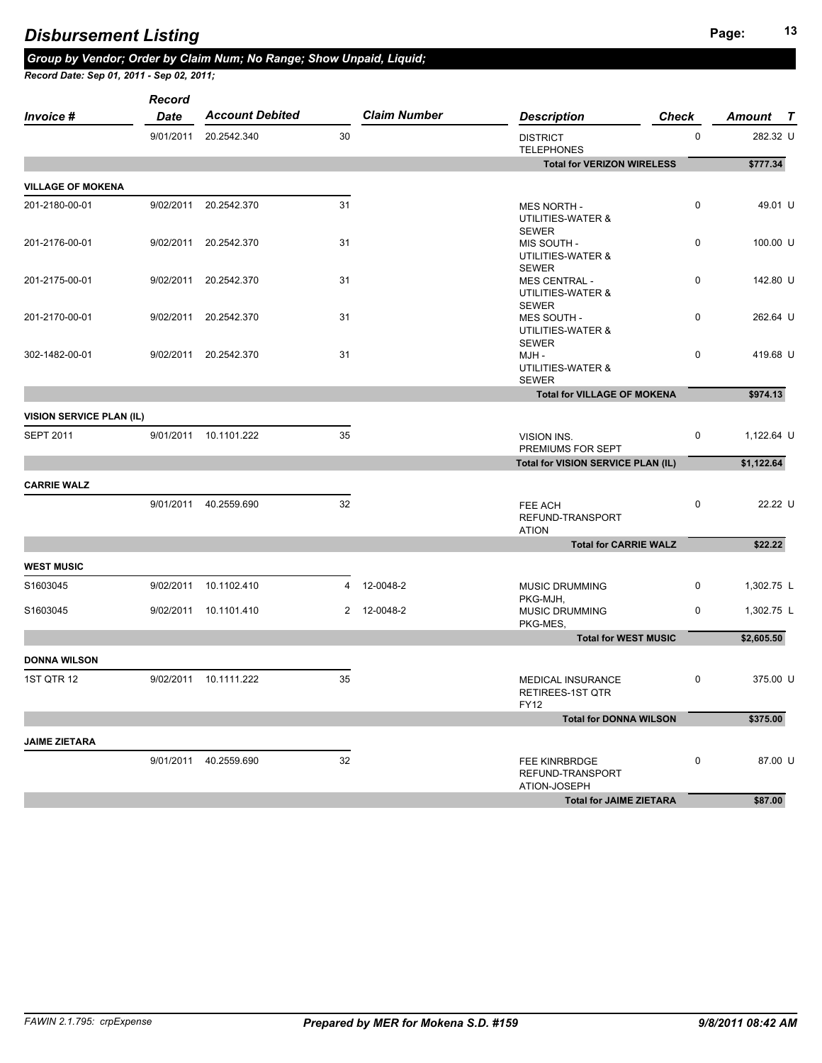|                                 | Record    |                        |                |                     |                                                           |              |                        |
|---------------------------------|-----------|------------------------|----------------|---------------------|-----------------------------------------------------------|--------------|------------------------|
| Invoice #                       | Date      | <b>Account Debited</b> |                | <b>Claim Number</b> | <b>Description</b>                                        | <b>Check</b> | Amount<br>$\mathbf{T}$ |
|                                 | 9/01/2011 | 20.2542.340            | 30             |                     | <b>DISTRICT</b><br><b>TELEPHONES</b>                      | 0            | 282.32 U               |
|                                 |           |                        |                |                     | <b>Total for VERIZON WIRELESS</b>                         |              | \$777.34               |
| <b>VILLAGE OF MOKENA</b>        |           |                        |                |                     |                                                           |              |                        |
| 201-2180-00-01                  | 9/02/2011 | 20.2542.370            | 31             |                     | <b>MES NORTH -</b><br>UTILITIES-WATER &<br><b>SEWER</b>   | $\pmb{0}$    | 49.01 U                |
| 201-2176-00-01                  | 9/02/2011 | 20.2542.370            | 31             |                     | MIS SOUTH -<br>UTILITIES-WATER &<br><b>SEWER</b>          | 0            | 100.00 U               |
| 201-2175-00-01                  | 9/02/2011 | 20.2542.370            | 31             |                     | <b>MES CENTRAL -</b><br>UTILITIES-WATER &<br><b>SEWER</b> | $\pmb{0}$    | 142.80 U               |
| 201-2170-00-01                  | 9/02/2011 | 20.2542.370            | 31             |                     | MES SOUTH -<br>UTILITIES-WATER &<br><b>SEWER</b>          | 0            | 262.64 U               |
| 302-1482-00-01                  | 9/02/2011 | 20.2542.370            | 31             |                     | MJH -<br>UTILITIES-WATER &<br><b>SEWER</b>                | 0            | 419.68 U               |
|                                 |           |                        |                |                     | <b>Total for VILLAGE OF MOKENA</b>                        |              | \$974.13               |
| <b>VISION SERVICE PLAN (IL)</b> |           |                        |                |                     |                                                           |              |                        |
| <b>SEPT 2011</b>                | 9/01/2011 | 10.1101.222            | 35             |                     | <b>VISION INS.</b><br>PREMIUMS FOR SEPT                   | 0            | 1,122.64 U             |
|                                 |           |                        |                |                     | Total for VISION SERVICE PLAN (IL)                        |              | \$1,122.64             |
| <b>CARRIE WALZ</b>              |           |                        |                |                     |                                                           |              |                        |
|                                 |           | 9/01/2011 40.2559.690  | 32             |                     | FEE ACH<br>REFUND-TRANSPORT<br><b>ATION</b>               | $\pmb{0}$    | 22.22 U                |
|                                 |           |                        |                |                     | <b>Total for CARRIE WALZ</b>                              |              | \$22.22                |
| <b>WEST MUSIC</b>               |           |                        |                |                     |                                                           |              |                        |
| S1603045                        | 9/02/2011 | 10.1102.410            | $\overline{4}$ | 12-0048-2           | MUSIC DRUMMING<br>PKG-MJH,                                | 0            | 1,302.75 L             |
| S1603045                        | 9/02/2011 | 10.1101.410            |                | 2 12-0048-2         | MUSIC DRUMMING<br>PKG-MES,                                | 0            | 1,302.75 L             |
|                                 |           |                        |                |                     | <b>Total for WEST MUSIC</b>                               |              | \$2,605.50             |
| <b>DONNA WILSON</b>             |           |                        |                |                     |                                                           |              |                        |
| <b>1ST QTR 12</b>               | 9/02/2011 | 10.1111.222            | 35             |                     | MEDICAL INSURANCE<br>RETIREES-1ST QTR<br>FY12             | 0            | 375.00 U               |
|                                 |           |                        |                |                     | <b>Total for DONNA WILSON</b>                             |              | \$375.00               |
| <b>JAIME ZIETARA</b>            |           |                        |                |                     |                                                           |              |                        |
|                                 |           | 9/01/2011 40.2559.690  | 32             |                     | FEE KINRBRDGE<br>REFUND-TRANSPORT<br>ATION-JOSEPH         | $\pmb{0}$    | 87.00 U                |
|                                 |           |                        |                |                     | <b>Total for JAIME ZIETARA</b>                            |              | \$87.00                |